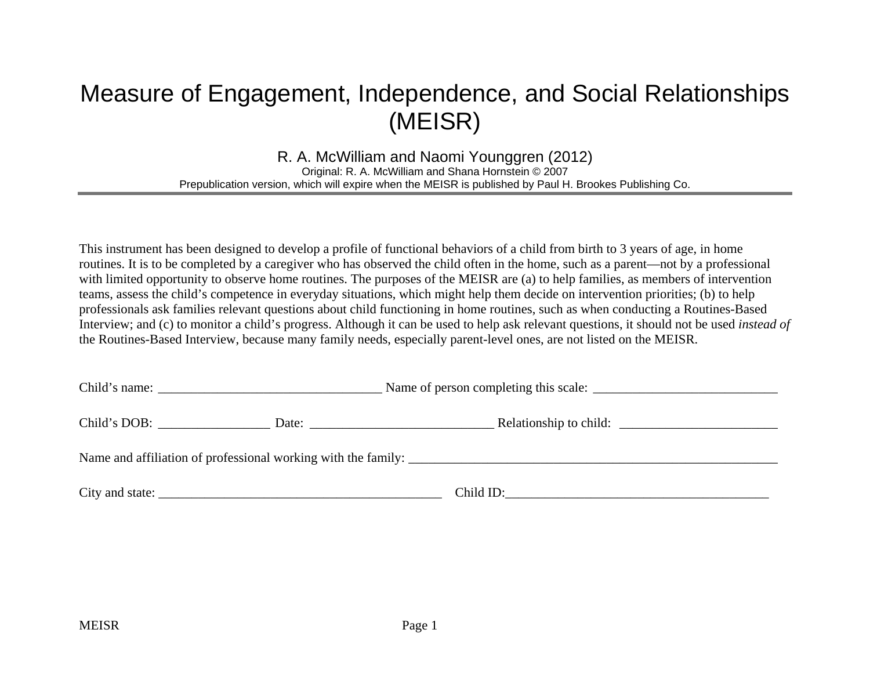# Measure of Engagement, Independence, and Social Relationships (MEISR)

R. A. McWilliam and Naomi Younggren (2012) Original: R. A. McWilliam and Shana Hornstein © 2007 Prepublication version, which will expire when the MEISR is published by Paul H. Brookes Publishing Co.

This instrument has been designed to develop a profile of functional behaviors of a child from birth to 3 years of age, in home routines. It is to be completed by a caregiver who has observed the child often in the home, such as a parent—not by a professional with limited opportunity to observe home routines. The purposes of the MEISR are (a) to help families, as members of intervention teams, assess the child's competence in everyday situations, which might help them decide on intervention priorities; (b) to help professionals ask families relevant questions about child functioning in home routines, such as when conducting a Routines-Based Interview; and (c) to monitor a child's progress. Although it can be used to help ask relevant questions, it should not be used *instead of* the Routines-Based Interview, because many family needs, especially parent-level ones, are not listed on the MEISR.

| Child's DOB: | Date: $\frac{1}{\sqrt{1-\frac{1}{2}} \cdot \frac{1}{2}}$                                                                                                                                                                                                                                                                                                                                                                                 | Relationship to child:                                        |  |  |  |  |  |  |
|--------------|------------------------------------------------------------------------------------------------------------------------------------------------------------------------------------------------------------------------------------------------------------------------------------------------------------------------------------------------------------------------------------------------------------------------------------------|---------------------------------------------------------------|--|--|--|--|--|--|
|              |                                                                                                                                                                                                                                                                                                                                                                                                                                          | Name and affiliation of professional working with the family: |  |  |  |  |  |  |
|              | City and state: $\frac{1}{\sqrt{1-\frac{1}{2}} \cdot \frac{1}{\sqrt{1-\frac{1}{2}} \cdot \frac{1}{\sqrt{1-\frac{1}{2}} \cdot \frac{1}{\sqrt{1-\frac{1}{2}} \cdot \frac{1}{\sqrt{1-\frac{1}{2}} \cdot \frac{1}{\sqrt{1-\frac{1}{2}} \cdot \frac{1}{\sqrt{1-\frac{1}{2}} \cdot \frac{1}{\sqrt{1-\frac{1}{2}} \cdot \frac{1}{\sqrt{1-\frac{1}{2}} \cdot \frac{1}{\sqrt{1-\frac{1}{2}} \cdot \frac{1}{\sqrt{1-\frac{1}{2}} \cdot \frac{1}{\$ | Child ID:                                                     |  |  |  |  |  |  |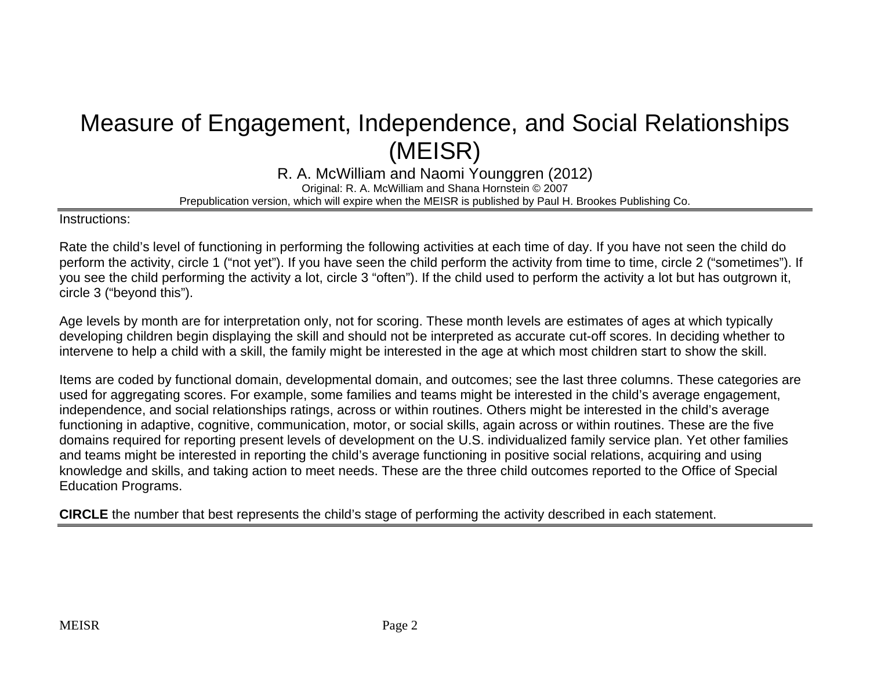# Measure of Engagement, Independence, and Social Relationships (MEISR)

R. A. McWilliam and Naomi Younggren (2012) Original: R. A. McWilliam and Shana Hornstein © 2007 Prepublication version, which will expire when the MEISR is published by Paul H. Brookes Publishing Co.

Instructions:

Rate the child's level of functioning in performing the following activities at each time of day. If you have not seen the child do perform the activity, circle 1 ("not yet"). If you have seen the child perform the activity from time to time, circle 2 ("sometimes"). If you see the child performing the activity a lot, circle 3 "often"). If the child used to perform the activity a lot but has outgrown it, circle 3 ("beyond this").

Age levels by month are for interpretation only, not for scoring. These month levels are estimates of ages at which typically developing children begin displaying the skill and should not be interpreted as accurate cut-off scores. In deciding whether to intervene to help a child with a skill, the family might be interested in the age at which most children start to show the skill.

Items are coded by functional domain, developmental domain, and outcomes; see the last three columns. These categories are used for aggregating scores. For example, some families and teams might be interested in the child's average engagement, independence, and social relationships ratings, across or within routines. Others might be interested in the child's average functioning in adaptive, cognitive, communication, motor, or social skills, again across or within routines. These are the five domains required for reporting present levels of development on the U.S. individualized family service plan. Yet other families and teams might be interested in reporting the child's average functioning in positive social relations, acquiring and using knowledge and skills, and taking action to meet needs. These are the three child outcomes reported to the Office of Special Education Programs.

**CIRCLE** the number that best represents the child's stage of performing the activity described in each statement.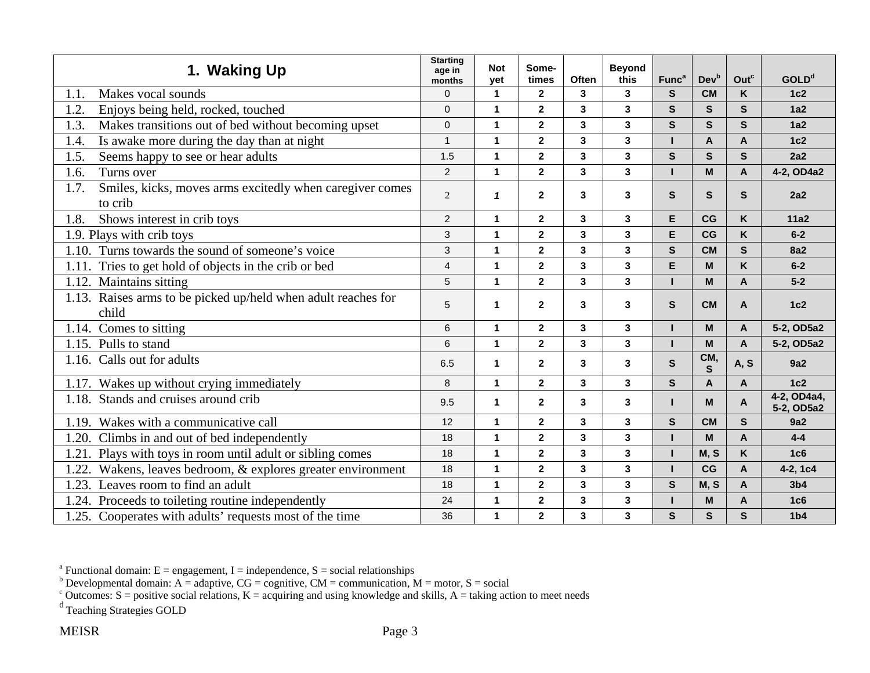| 1. Waking Up                                                                | <b>Starting</b><br>age in<br>months | <b>Not</b><br>yet | Some-<br>times          | <b>Often</b>            | <b>Beyond</b><br>this   | Func <sup>a</sup> | Devb                | Outc         | <b>GOLD<sup>d</sup></b>   |
|-----------------------------------------------------------------------------|-------------------------------------|-------------------|-------------------------|-------------------------|-------------------------|-------------------|---------------------|--------------|---------------------------|
| Makes vocal sounds<br>1.1.                                                  | $\Omega$                            | $\mathbf 1$       | $\overline{2}$          | 3                       | $\mathbf{3}$            | S                 | <b>CM</b>           | K            | 1c2                       |
| 1.2.<br>Enjoys being held, rocked, touched                                  | $\Omega$                            | $\mathbf{1}$      | $\overline{\mathbf{2}}$ | 3                       | 3                       | $\mathbf{s}$      | S                   | $\mathbf{s}$ | 1a2                       |
| Makes transitions out of bed without becoming upset<br>1.3.                 | $\mathbf 0$                         | 1                 | $\overline{\mathbf{2}}$ | 3                       | 3                       | $\mathbf{s}$      | $\mathbf{s}$        | S            | 1a2                       |
| Is awake more during the day than at night<br>1.4.                          | $\mathbf{1}$                        | 1                 | $\overline{2}$          | $\mathbf{3}$            | 3                       |                   | A                   | $\mathsf{A}$ | 1c2                       |
| Seems happy to see or hear adults<br>1.5.                                   | 1.5                                 | 1                 | $\mathbf{2}$            | 3                       | 3                       | $\mathbf{s}$      | $\mathbf{s}$        | $\mathbf{s}$ | 2a2                       |
| Turns over<br>1.6.                                                          | $\overline{2}$                      | $\mathbf{1}$      | $\overline{2}$          | $\overline{\mathbf{3}}$ | $\overline{3}$          |                   | M                   | $\mathbf{A}$ | 4-2, OD4a2                |
| Smiles, kicks, moves arms excitedly when caregiver comes<br>1.7.<br>to crib | $\overline{2}$                      | $\mathbf{1}$      | $\mathbf{2}$            | 3                       | $\overline{3}$          | S.                | S                   | S            | 2a2                       |
| Shows interest in crib toys<br>1.8.                                         | $\overline{c}$                      | $\mathbf{1}$      | $\mathbf{2}$            | 3                       | 3                       | E                 | CG                  | K            | 11a2                      |
| 1.9. Plays with crib toys                                                   | 3                                   | $\mathbf{1}$      | $\overline{\mathbf{2}}$ | 3                       | 3                       | E                 | CG                  | K            | $6-2$                     |
| Turns towards the sound of someone's voice<br>1.10.                         | 3                                   | 1                 | $\overline{\mathbf{2}}$ | 3                       | 3                       | $\mathbf{s}$      | <b>CM</b>           | $\mathbf{s}$ | <b>8a2</b>                |
| Tries to get hold of objects in the crib or bed<br>1.11.                    | $\overline{4}$                      | 1                 | $\overline{\mathbf{2}}$ | 3                       | 3                       | E                 | M                   | K            | $6-2$                     |
| Maintains sitting<br>1.12.                                                  | 5                                   | 1                 | $\mathbf{2}$            | 3                       | 3                       |                   | M                   | $\mathsf{A}$ | $5-2$                     |
| 1.13. Raises arms to be picked up/held when adult reaches for<br>child      | 5                                   | 1                 | $\mathbf{2}$            | 3                       | 3                       | $\mathbf{s}$      | <b>CM</b>           | $\mathsf{A}$ | 1c2                       |
| 1.14. Comes to sitting                                                      | 6                                   | $\mathbf{1}$      | $\overline{2}$          | $\mathbf{3}$            | 3                       | н                 | M                   | $\mathbf{A}$ | 5-2, OD5a2                |
| 1.15. Pulls to stand                                                        | 6                                   | 1                 | $\overline{\mathbf{2}}$ | 3                       | 3                       |                   | M                   | $\mathsf{A}$ | 5-2, OD5a2                |
| 1.16. Calls out for adults                                                  | 6.5                                 | 1                 | $\mathbf{2}$            | 3                       | 3                       | S                 | CM,<br>$\mathbf{s}$ | A, S         | 9a2                       |
| 1.17. Wakes up without crying immediately                                   | 8                                   | $\mathbf{1}$      | $\mathbf{2}$            | 3                       | 3                       | $\mathbf{s}$      | A                   | $\mathsf{A}$ | 1c2                       |
| 1.18. Stands and cruises around crib                                        | 9.5                                 | 1                 | $\mathbf{2}$            | 3                       | 3                       |                   | M                   | A            | 4-2, OD4a4,<br>5-2, OD5a2 |
| Wakes with a communicative call<br>1.19.                                    | 12                                  | $\mathbf{1}$      | $\overline{2}$          | $\mathbf{3}$            | 3                       | $\mathbf{s}$      | <b>CM</b>           | $\mathbf{s}$ | 9a2                       |
| Climbs in and out of bed independently<br>1.20.                             | 18                                  | 1                 | $\overline{2}$          | 3                       | 3                       |                   | M                   | $\mathbf{A}$ | $4 - 4$                   |
| Plays with toys in room until adult or sibling comes<br>1.21.               | 18                                  | 1                 | $\overline{\mathbf{2}}$ | 3                       | 3                       |                   | M, S                | K            | 1 <sub>c6</sub>           |
| Wakens, leaves bedroom, & explores greater environment<br>1.22.             | 18                                  | $\mathbf{1}$      | $\overline{\mathbf{2}}$ | $\mathbf{3}$            | $\overline{\mathbf{3}}$ |                   | CG                  | $\mathbf{A}$ | 4-2, 1c4                  |
| 1.23.<br>Leaves room to find an adult                                       | 18                                  | 1                 | $\overline{\mathbf{2}}$ | 3                       | 3                       | $\mathbf{s}$      | M, S                | A            | 3 <sub>b4</sub>           |
| 1.24. Proceeds to toileting routine independently                           | 24                                  | $\mathbf{1}$      | $\overline{\mathbf{2}}$ | 3                       | $\mathbf{3}$            |                   | M                   | $\mathsf{A}$ | 1c6                       |
| 1.25. Cooperates with adults' requests most of the time                     | 36                                  | 1                 | $\overline{\mathbf{2}}$ | 3                       | 3                       | S                 | $\mathbf{s}$        | S            | 1 <sub>b4</sub>           |

<sup>b</sup> Developmental domain: A = adaptive, CG = cognitive, CM = communication, M = motor, S = social

<sup>c</sup> Outcomes: S = positive social relations, K = acquiring and using knowledge and skills, A = taking action to meet needs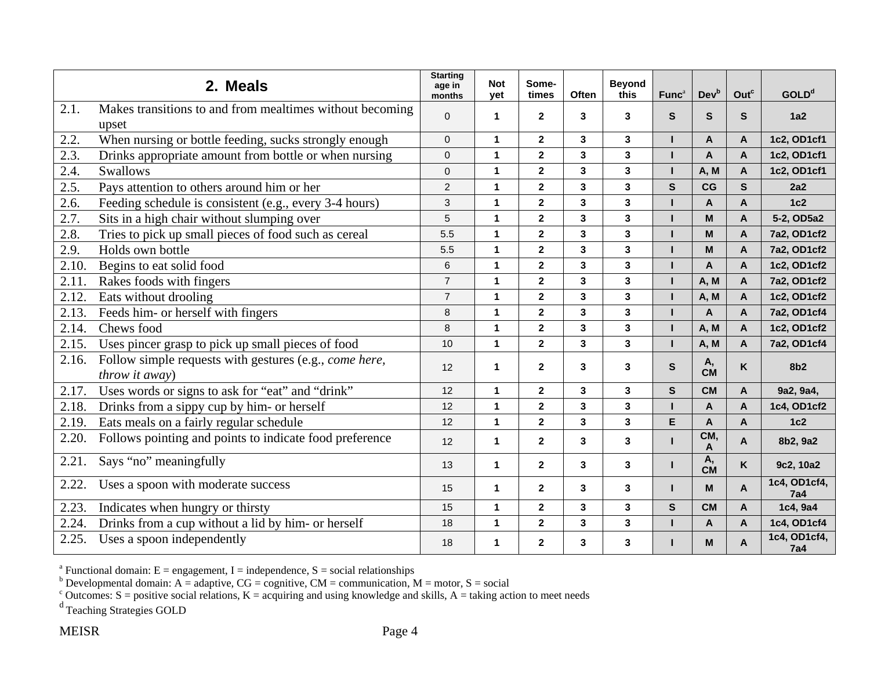|       | 2. Meals                                                                 | <b>Starting</b><br>age in<br>months | <b>Not</b><br>vet | Some-<br>times          | Often | <b>Beyond</b><br>this   | Func <sup>a</sup> | Dev <sup>b</sup> | Outc         | <b>GOLD</b> <sup>d</sup>   |
|-------|--------------------------------------------------------------------------|-------------------------------------|-------------------|-------------------------|-------|-------------------------|-------------------|------------------|--------------|----------------------------|
| 2.1.  | Makes transitions to and from mealtimes without becoming<br>upset        | $\mathbf{0}$                        | 1                 | $\mathbf{2}$            | 3     | 3                       | S.                | S                | $\mathbf{s}$ | 1a2                        |
| 2.2.  | When nursing or bottle feeding, sucks strongly enough                    | $\mathbf{0}$                        | $\mathbf{1}$      | $\mathbf{2}$            | 3     | 3                       |                   | $\overline{A}$   | A            | 1c2, OD1cf1                |
| 2.3.  | Drinks appropriate amount from bottle or when nursing                    | $\mathbf 0$                         | 1                 | $\mathbf 2$             | 3     | 3                       | т                 | $\overline{A}$   | $\mathbf{A}$ | 1c2, OD1cf1                |
| 2.4.  | <b>Swallows</b>                                                          | $\mathbf 0$                         | 1                 | $\mathbf 2$             | 3     | 3                       | L                 | A, M             | $\mathbf{A}$ | 1c2, OD1cf1                |
| 2.5.  | Pays attention to others around him or her                               | $\overline{2}$                      | 1                 | $\mathbf 2$             | 3     | 3                       | $\mathbf{s}$      | CG               | $\mathbf{s}$ | 2a2                        |
| 2.6.  | Feeding schedule is consistent (e.g., every 3-4 hours)                   | 3                                   | $\mathbf{1}$      | $\mathbf{2}$            | 3     | $\mathbf{3}$            | п                 | $\mathbf{A}$     | $\mathbf{A}$ | 1c2                        |
| 2.7.  | Sits in a high chair without slumping over                               | 5                                   | 1                 | $\mathbf 2$             | 3     | $\mathbf{3}$            |                   | M                | A            | 5-2, OD5a2                 |
| 2.8.  | Tries to pick up small pieces of food such as cereal                     | 5.5                                 | 1                 | $\mathbf 2$             | 3     | 3                       |                   | M                | A            | 7a2, OD1cf2                |
| 2.9.  | Holds own bottle                                                         | 5.5                                 | 1                 | $\overline{2}$          | 3     | $\overline{\mathbf{3}}$ |                   | M                | $\mathbf{A}$ | 7a2, OD1cf2                |
| 2.10. | Begins to eat solid food                                                 | 6                                   | $\mathbf{1}$      | $\mathbf{2}$            | 3     | 3                       | п                 | A                | $\mathsf{A}$ | 1c2, OD1cf2                |
| 2.11. | Rakes foods with fingers                                                 | $\overline{7}$                      | $\mathbf{1}$      | $\overline{2}$          | 3     | 3                       | п                 | A, M             | $\mathsf{A}$ | 7a2, OD1cf2                |
| 2.12. | Eats without drooling                                                    | $\overline{7}$                      | 1                 | $\mathbf 2$             | 3     | 3                       | п                 | A, M             | A            | 1c2, OD1cf2                |
| 2.13. | Feeds him- or herself with fingers                                       | 8                                   | 1                 | $\mathbf 2$             | 3     | 3                       | п                 | $\mathbf{A}$     | $\mathbf{A}$ | 7a2, OD1cf4                |
| 2.14. | Chews food                                                               | 8                                   | $\mathbf{1}$      | $\mathbf 2$             | 3     | $\mathbf{3}$            |                   | A, M             | $\mathbf{A}$ | 1c2, OD1cf2                |
| 2.15. | Uses pincer grasp to pick up small pieces of food                        | 10                                  | 1                 | $\overline{2}$          | 3     | $\mathbf{3}$            | T                 | A, M             | A            | 7a2, OD1cf4                |
| 2.16. | Follow simple requests with gestures (e.g., come here,<br>throw it away) | 12                                  | $\mathbf{1}$      | $\mathbf{2}$            | 3     | 3                       | $\mathbf{s}$      | Α,<br><b>CM</b>  | K            | 8b <sub>2</sub>            |
| 2.17. | Uses words or signs to ask for "eat" and "drink"                         | 12                                  | 1                 | $\mathbf{2}$            | 3     | $\mathbf{3}$            | $\mathbf{s}$      | <b>CM</b>        | $\mathbf{A}$ | 9a2, 9a4,                  |
| 2.18. | Drinks from a sippy cup by him- or herself                               | 12                                  | 1                 | $\mathbf{2}$            | 3     | $\mathbf{3}$            |                   | $\mathsf{A}$     | A            | 1c4, OD1cf2                |
| 2.19. | Eats meals on a fairly regular schedule                                  | 12                                  | $\mathbf{1}$      | $\overline{\mathbf{2}}$ | 3     | $\overline{\mathbf{3}}$ | E                 | $\mathbf{A}$     | $\mathbf{A}$ | 1c2                        |
| 2.20. | Follows pointing and points to indicate food preference                  | 12                                  | 1                 | $\mathbf{2}$            | 3     | 3                       |                   | CM,<br>A         | A            | 8b2, 9a2                   |
| 2.21. | Says "no" meaningfully                                                   | 13                                  | 1                 | $\mathbf{2}$            | 3     | 3                       | L                 | А,<br><b>CM</b>  | K            | 9c2, 10a2                  |
| 2.22. | Uses a spoon with moderate success                                       | 15                                  | $\mathbf{1}$      | $\mathbf{2}$            | 3     | $\mathbf{3}$            | L                 | M                | $\mathsf{A}$ | 1c4, OD1cf4,<br><b>7a4</b> |
| 2.23. | Indicates when hungry or thirsty                                         | 15                                  | $\mathbf{1}$      | $\mathbf{2}$            | 3     | $\mathbf{3}$            | $\mathbf{s}$      | <b>CM</b>        | $\mathbf{A}$ | 1c4, 9a4                   |
| 2.24. | Drinks from a cup without a lid by him- or herself                       | 18                                  | $\mathbf{1}$      | $\mathbf 2$             | 3     | $\mathbf{3}$            |                   | $\overline{A}$   | A            | 1c4, OD1cf4                |
| 2.25. | Uses a spoon independently                                               | 18                                  | $\mathbf{1}$      | $\mathbf{2}$            | 3     | 3                       |                   | M                | A            | 1c4, OD1cf4,<br><b>7a4</b> |

<sup>b</sup> Developmental domain: A = adaptive, CG = cognitive, CM = communication, M = motor, S = social

<sup>c</sup> Outcomes: S = positive social relations, K = acquiring and using knowledge and skills, A = taking action to meet needs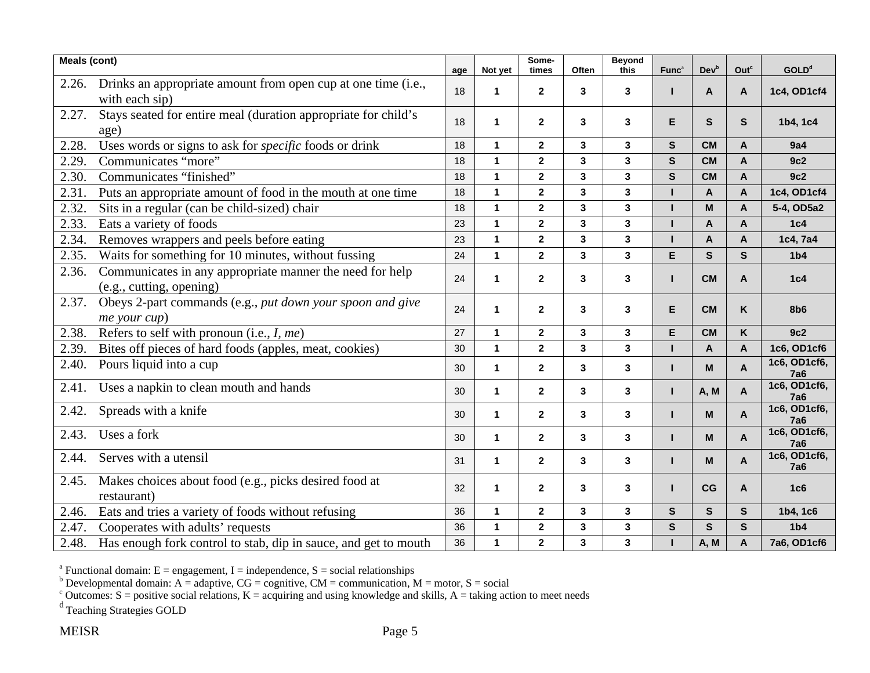| <b>Meals (cont)</b> |                                                                                      | age | Not yet      | Some-<br>times          | Often                   | <b>Beyond</b><br>this   | Func <sup>a</sup> | Devb           | Out <sup>c</sup>          | <b>GOLD</b> <sup>d</sup>   |
|---------------------|--------------------------------------------------------------------------------------|-----|--------------|-------------------------|-------------------------|-------------------------|-------------------|----------------|---------------------------|----------------------------|
| 2.26.               | Drinks an appropriate amount from open cup at one time (i.e.,<br>with each sip)      | 18  | 1            | $\mathbf{2}$            | 3                       | 3                       | L                 | A              | A                         | 1c4, OD1cf4                |
| 2.27.               | Stays seated for entire meal (duration appropriate for child's<br>age)               | 18  | 1            | $\mathbf{2}$            | 3                       | 3                       | E                 | $\mathbf{s}$   | $\mathbf{s}$              | 1b4, 1c4                   |
| 2.28.               | Uses words or signs to ask for specific foods or drink                               | 18  | $\mathbf{1}$ | $\mathbf{2}$            | 3                       | $\overline{\mathbf{3}}$ | S                 | <b>CM</b>      | A                         | 9a4                        |
| 2.29.               | Communicates "more"                                                                  | 18  | 1            | $\mathbf 2$             | 3                       | 3                       | $\mathbf{s}$      | <b>CM</b>      | A                         | 9c2                        |
| 2.30.               | Communicates "finished"                                                              | 18  | $\mathbf{1}$ | $\overline{2}$          | $\overline{\mathbf{3}}$ | $\mathbf{3}$            | $\mathbf{s}$      | <b>CM</b>      | $\mathbf{A}$              | 9c2                        |
| 2.31.               | Puts an appropriate amount of food in the mouth at one time                          | 18  | $\mathbf{1}$ | $\mathbf{2}$            | 3                       | 3                       |                   | $\mathsf{A}$   | A                         | 1c4, OD1cf4                |
| 2.32.               | Sits in a regular (can be child-sized) chair                                         | 18  | $\mathbf{1}$ | $\mathbf{2}$            | 3                       | 3                       |                   | M              | A                         | 5-4, OD5a2                 |
| 2.33.               | Eats a variety of foods                                                              | 23  | $\mathbf{1}$ | $\mathbf{2}$            | 3                       | 3                       |                   | $\overline{A}$ | A                         | 1c4                        |
| 2.34.               | Removes wrappers and peels before eating                                             | 23  | 1            | $\mathbf{2}$            | 3                       | 3                       |                   | A              | A                         | 1c4, 7a4                   |
| 2.35.               | Waits for something for 10 minutes, without fussing                                  | 24  | $\mathbf{1}$ | $\mathbf 2$             | $\mathbf{3}$            | $\mathbf{3}$            | E                 | ${\mathsf s}$  | $\mathbf{s}$              | 1 <sub>b4</sub>            |
| 2.36.               | Communicates in any appropriate manner the need for help<br>(e.g., cutting, opening) | 24  | $\mathbf{1}$ | $\mathbf{2}$            | 3                       | 3                       | п                 | <b>CM</b>      | A                         | 1c4                        |
| 2.37.               | Obeys 2-part commands (e.g., put down your spoon and give<br>me your cup)            | 24  | 1            | $\mathbf 2$             | 3                       | 3                       | E                 | <b>CM</b>      | K                         | 8b <sub>6</sub>            |
| 2.38.               | Refers to self with pronoun (i.e., I, me)                                            | 27  | $\mathbf{1}$ | $\mathbf{2}$            | 3                       | 3                       | E                 | <b>CM</b>      | K                         | 9c2                        |
| 2.39.               | Bites off pieces of hard foods (apples, meat, cookies)                               | 30  | $\mathbf{1}$ | $\mathbf{2}$            | $\mathbf{3}$            | $\mathbf{3}$            |                   | A              | $\boldsymbol{\mathsf{A}}$ | 1c6, OD1cf6                |
| 2.40.               | Pours liquid into a cup                                                              | 30  | $\mathbf{1}$ | $\mathbf{2}$            | 3                       | 3                       | L                 | M              | $\mathbf{A}$              | 1c6, OD1cf6,<br><b>7a6</b> |
| 2.41.               | Uses a napkin to clean mouth and hands                                               | 30  | $\mathbf{1}$ | $\mathbf{2}$            | $\mathbf 3$             | $\mathbf{3}$            | п                 | A, M           | $\mathbf{A}$              | 1c6, OD1cf6,<br><b>7a6</b> |
| 2.42.               | Spreads with a knife                                                                 | 30  | $\mathbf{1}$ | $\mathbf{2}$            | 3                       | 3                       | п                 | M              | $\mathbf{A}$              | 1c6, OD1cf6,<br><b>7a6</b> |
| 2.43.               | Uses a fork                                                                          | 30  | $\mathbf{1}$ | $\mathbf{2}$            | 3                       | 3                       | п                 | M              | $\mathbf{A}$              | 1c6, OD1cf6,<br><b>7a6</b> |
| 2.44.               | Serves with a utensil                                                                | 31  | 1            | $\mathbf 2$             | 3                       | 3                       | L                 | M              | $\mathsf{A}$              | 1c6, OD1cf6,<br><b>7a6</b> |
| 2.45.               | Makes choices about food (e.g., picks desired food at<br>restaurant)                 | 32  | $\mathbf{1}$ | $\mathbf{2}$            | $\mathbf 3$             | $\mathbf{3}$            |                   | CG             | $\mathsf{A}$              | 1 <sub>c6</sub>            |
| 2.46.               | Eats and tries a variety of foods without refusing                                   | 36  | $\mathbf{1}$ | $\overline{\mathbf{2}}$ | 3                       | $\overline{\mathbf{3}}$ | S                 | $\mathbf{s}$   | $\mathbf{s}$              | 1b4, 1c6                   |
| 2.47.               | Cooperates with adults' requests                                                     | 36  | $\mathbf{1}$ | $\bf 2$                 | $\mathbf 3$             | $\mathbf{3}$            | $\mathbf s$       | $\mathbf{s}$   | $\mathbf{s}$              | 1 <sub>b4</sub>            |
| 2.48.               | Has enough fork control to stab, dip in sauce, and get to mouth                      | 36  | 1            | $\mathbf{2}$            | 3                       | 3                       |                   | A, M           | A                         | 7a6, OD1cf6                |

<sup>b</sup> Developmental domain: A = adaptive, CG = cognitive, CM = communication, M = motor, S = social

<sup>c</sup> Outcomes: S = positive social relations, K = acquiring and using knowledge and skills, A = taking action to meet needs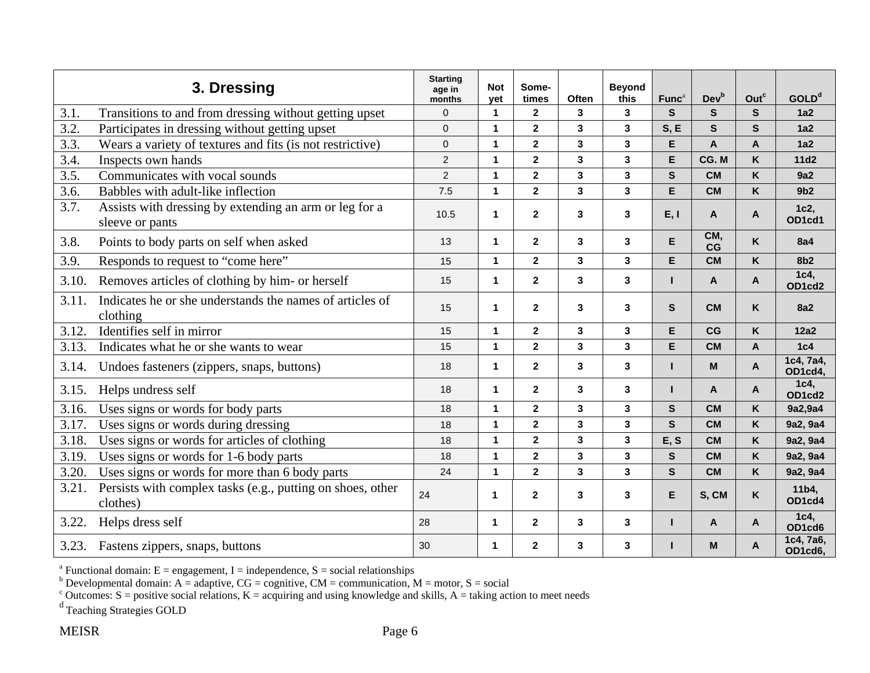|       | 3. Dressing                                                               | <b>Starting</b><br>age in<br>months | <b>Not</b><br>yet    | Some-<br>times          | Often                   | <b>Beyond</b><br>this | Func <sup>a</sup> | <b>Dev</b> <sup>b</sup> | Out <sup>c</sup> | GOLD <sup>d</sup>    |
|-------|---------------------------------------------------------------------------|-------------------------------------|----------------------|-------------------------|-------------------------|-----------------------|-------------------|-------------------------|------------------|----------------------|
| 3.1.  | Transitions to and from dressing without getting upset                    | $\Omega$                            | $\blacktriangleleft$ | $\mathbf{2}$            | 3                       | 3                     | S                 | S.                      | S.               | 1a2                  |
| 3.2.  | Participates in dressing without getting upset                            | $\Omega$                            | $\blacktriangleleft$ | $\overline{\mathbf{2}}$ | $\mathbf{3}$            | 3                     | S, E              | $\mathbf{s}$            | S.               | 1a2                  |
| 3.3.  | Wears a variety of textures and fits (is not restrictive)                 | $\mathbf 0$                         | $\mathbf{1}$         | $\mathbf{2}$            | 3                       | $\mathbf{3}$          | E                 | A                       | A                | 1a2                  |
| 3.4.  | Inspects own hands                                                        | $\overline{c}$                      | $\mathbf{1}$         | $\mathbf 2$             | $\mathbf 3$             | 3                     | Е                 | CG. M                   | K                | 11d2                 |
| 3.5.  | Communicates with vocal sounds                                            | $\overline{2}$                      | $\mathbf 1$          | $\overline{2}$          | $\mathbf{3}$            | $\mathbf{3}$          | $\mathbf{s}$      | <b>CM</b>               | K                | 9a2                  |
| 3.6.  | Babbles with adult-like inflection                                        | 7.5                                 | $\mathbf{1}$         | $\overline{2}$          | $\mathbf{3}$            | $\mathbf{3}$          | E                 | <b>CM</b>               | K                | 9 <sub>b2</sub>      |
| 3.7.  | Assists with dressing by extending an arm or leg for a<br>sleeve or pants | 10.5                                | $\mathbf 1$          | $\mathbf{2}$            | 3                       | $\mathbf{3}$          | E, I              | A                       | A                | 1c2,<br>OD1cd1       |
| 3.8.  | Points to body parts on self when asked                                   | 13                                  | $\mathbf{1}$         | $\mathbf{2}$            | 3                       | 3                     | Е                 | CM,<br>CG               | K                | <b>8a4</b>           |
| 3.9.  | Responds to request to "come here"                                        | 15                                  | $\mathbf{1}$         | $\mathbf{2}$            | 3                       | $\mathbf{3}$          | E                 | <b>CM</b>               | K                | 8 <sub>b2</sub>      |
| 3.10. | Removes articles of clothing by him- or herself                           | 15                                  | $\mathbf{1}$         | $\mathbf{2}$            | $\mathbf{3}$            | 3                     | н                 | A                       | A                | 1c4,<br>OD1cd2       |
| 3.11. | Indicates he or she understands the names of articles of<br>clothing      | 15                                  | $\mathbf{1}$         | $\mathbf{2}$            | $\mathbf 3$             | 3                     | S                 | <b>CM</b>               | K                | <b>8a2</b>           |
| 3.12. | Identifies self in mirror                                                 | 15                                  | $\mathbf{1}$         | $\mathbf{2}$            | $\mathbf{3}$            | 3                     | E                 | CG                      | K                | 12a2                 |
| 3.13. | Indicates what he or she wants to wear                                    | 15                                  | $\mathbf{1}$         | $\overline{\mathbf{2}}$ | 3                       | $\mathbf{3}$          | E                 | <b>CM</b>               | A                | 1c4                  |
| 3.14. | Undoes fasteners (zippers, snaps, buttons)                                | 18                                  | $\mathbf{1}$         | $\overline{2}$          | 3                       | 3                     | п                 | M                       | A                | 1c4, 7a4,<br>OD1cd4, |
| 3.15. | Helps undress self                                                        | 18                                  | $\mathbf{1}$         | $\mathbf 2$             | $\mathbf 3$             | 3                     | г                 | A                       | A                | 1c4,<br>OD1cd2       |
| 3.16. | Uses signs or words for body parts                                        | 18                                  | $\mathbf{1}$         | $\mathbf 2$             | $\mathbf{3}$            | 3                     | S                 | <b>CM</b>               | K                | 9a2,9a4              |
| 3.17. | Uses signs or words during dressing                                       | 18                                  | $\mathbf{1}$         | $\overline{2}$          | $\overline{\mathbf{3}}$ | $\mathbf{3}$          | $\mathbf{s}$      | <b>CM</b>               | K                | 9a2, 9a4             |
| 3.18. | Uses signs or words for articles of clothing                              | 18                                  | $\mathbf{1}$         | $\overline{2}$          | $\mathbf{3}$            | $\mathbf{3}$          | E, S              | <b>CM</b>               | K                | 9a2, 9a4             |
| 3.19  | Uses signs or words for 1-6 body parts                                    | 18                                  | $\mathbf{1}$         | $\mathbf{2}$            | 3                       | 3                     | $\mathbf{s}$      | <b>CM</b>               | K                | 9a2, 9a4             |
| 3.20. | Uses signs or words for more than 6 body parts                            | 24                                  | $\mathbf{1}$         | $\overline{2}$          | $\overline{\mathbf{3}}$ | 3                     | $\mathbf{s}$      | <b>CM</b>               | K                | 9a2, 9a4             |
| 3.21. | Persists with complex tasks (e.g., putting on shoes, other<br>clothes)    | 24                                  | 1                    | $\mathbf{2}$            | 3                       | 3                     | Е                 | S, CM                   | Κ                | 11b4,<br>OD1cd4      |
| 3.22. | Helps dress self                                                          | 28                                  | $\blacktriangleleft$ | $\mathbf{2}$            | $\mathbf{3}$            | 3                     | н                 | A                       | A                | 1c4.<br>OD1cd6       |
|       | 3.23. Fastens zippers, snaps, buttons                                     | 30                                  | $\mathbf 1$          | $\mathbf{2}$            | 3                       | 3                     |                   | M                       | A                | 1c4, 7a6,<br>OD1cd6, |

<sup>b</sup> Developmental domain: A = adaptive, CG = cognitive, CM = communication, M = motor, S = social

<sup>c</sup> Outcomes: S = positive social relations, K = acquiring and using knowledge and skills, A = taking action to meet needs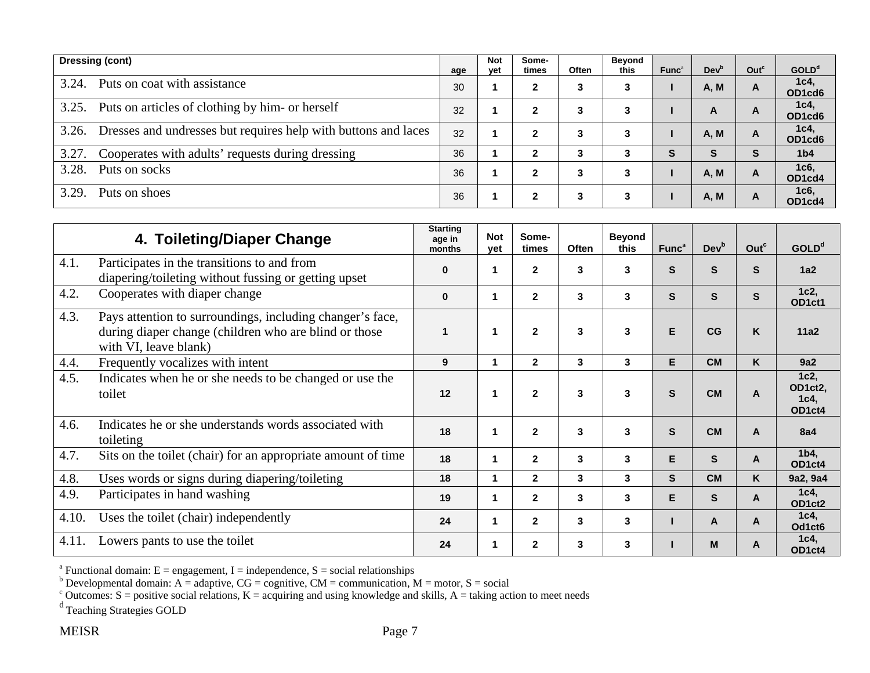|       | Dressing (cont)                                                | age | <b>Not</b><br>vet | Some-<br>times | Often | Beyond<br>this | Func <sup>a</sup> | Dev <sup>b</sup> | Out <sup>c</sup> | <b>GOLD</b> <sup>d</sup> |
|-------|----------------------------------------------------------------|-----|-------------------|----------------|-------|----------------|-------------------|------------------|------------------|--------------------------|
| 3.24. | Puts on coat with assistance                                   | 30  |                   | 2              | 3     | 3              |                   | A, M             |                  | 1c4,<br>OD1cd6           |
| 3.25. | Puts on articles of clothing by him- or herself                | 32  |                   | 2              | 3     | 3              |                   | A                | A                | 1c4,<br>OD1cd6           |
| 3.26. | Dresses and undresses but requires help with buttons and laces | 32  |                   | 2              | 3     | 3              |                   | <b>A, M</b>      |                  | 1c4,<br>OD1cd6           |
| 3.27. | Cooperates with adults' requests during dressing               | 36  |                   | 2              | 3     |                | S                 | s                | S.               | 1 <sub>b4</sub>          |
| 3.28. | Puts on socks                                                  | 36  |                   | 2              | 3     |                |                   | <b>A, M</b>      | A                | 1c6,<br>OD1cd4           |
| 3.29. | Puts on shoes                                                  | 36  |                   | 2              | 3     | 3              |                   | A, M             | A                | 1c6,<br>OD1cd4           |

|       | 4. Toileting/Diaper Change                                                                                                                  | <b>Starting</b><br>age in<br>months | <b>Not</b><br>vet | Some-<br>times | Often | <b>Beyond</b><br>this | Func <sup>a</sup> | Dev <sup>b</sup> | Out <sup>c</sup> | GOLD <sup>d</sup>                 |
|-------|---------------------------------------------------------------------------------------------------------------------------------------------|-------------------------------------|-------------------|----------------|-------|-----------------------|-------------------|------------------|------------------|-----------------------------------|
| 4.1.  | Participates in the transitions to and from<br>diapering/toileting without fussing or getting upset                                         | $\bf{0}$                            |                   | $\mathbf{2}$   | 3     | 3                     | S                 | S                | S                | 1a2                               |
| 4.2.  | Cooperates with diaper change                                                                                                               | $\bf{0}$                            |                   | $\overline{2}$ | 3     | 3                     | S                 | S                | S                | 1c2,<br>OD1ct1                    |
| 4.3.  | Pays attention to surroundings, including changer's face,<br>during diaper change (children who are blind or those<br>with VI, leave blank) |                                     |                   | $\mathbf{2}$   | 3     | 3                     | E                 | CG               | K                | 11a2                              |
| 4.4.  | Frequently vocalizes with intent                                                                                                            | 9                                   |                   | $\overline{2}$ | 3     | 3                     | E                 | <b>CM</b>        | K                | 9a2                               |
| 4.5.  | Indicates when he or she needs to be changed or use the<br>toilet                                                                           | 12                                  |                   | $\overline{2}$ | 3     | 3                     | S                 | <b>CM</b>        | A                | 1c2,<br>OD1ct2,<br>1c4,<br>OD1ct4 |
| 4.6.  | Indicates he or she understands words associated with<br>toileting                                                                          | 18                                  |                   | $\overline{2}$ | 3     | 3                     | S                 | <b>CM</b>        | A                | <b>8a4</b>                        |
| 4.7.  | Sits on the toilet (chair) for an appropriate amount of time                                                                                | 18                                  |                   | $\mathbf{2}$   | 3     | 3                     | E                 | S                | A                | 1 <sub>b4</sub><br>OD1ct4         |
| 4.8.  | Uses words or signs during diapering/toileting                                                                                              | 18                                  |                   | $\overline{2}$ | 3     | 3                     | S.                | <b>CM</b>        | K                | 9a2, 9a4                          |
| 4.9.  | Participates in hand washing                                                                                                                | 19                                  |                   | $\mathbf{2}$   | 3     | 3                     | E.                | S                | $\overline{A}$   | 1c4,<br>OD1ct2                    |
| 4.10. | Uses the toilet (chair) independently                                                                                                       | 24                                  |                   | $\overline{2}$ | 3     | 3                     |                   | A                | A                | 1c4<br>Od1ct6                     |
| 4.11. | Lowers pants to use the toilet                                                                                                              | 24                                  |                   | $\overline{2}$ | 3     | 3                     |                   | M                | A                | 1c4,<br>OD1ct4                    |

<sup>b</sup> Developmental domain: A = adaptive, CG = cognitive, CM = communication, M = motor, S = social

<sup>c</sup> Outcomes: S = positive social relations, K = acquiring and using knowledge and skills, A = taking action to meet needs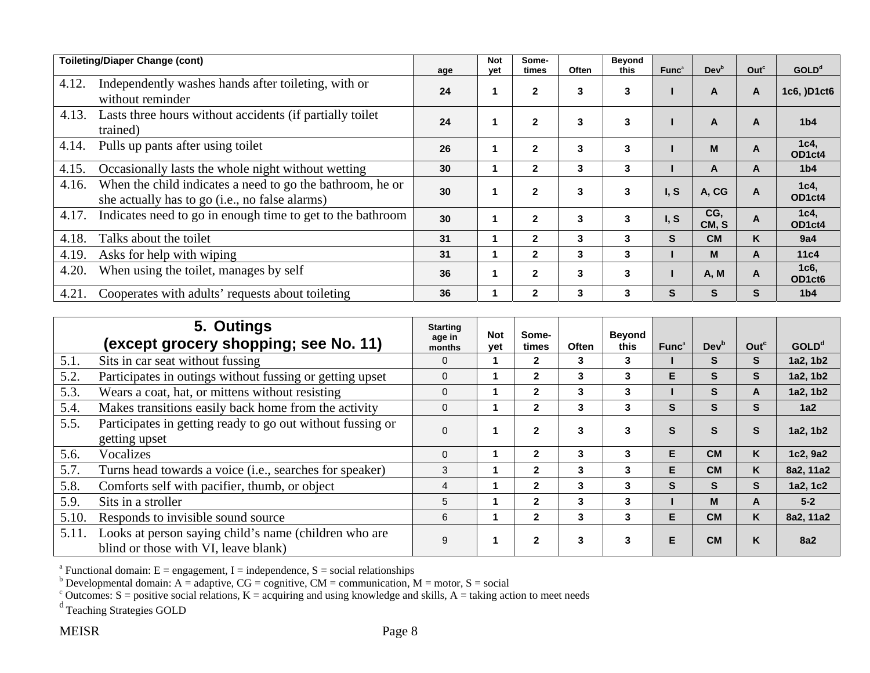|       | <b>Toileting/Diaper Change (cont)</b>                                                                       | age             | <b>Not</b><br>yet | Some-<br>times | Often | <b>Beyond</b><br>this | Func <sup>a</sup> | Dev <sup>b</sup> | Out <sup>c</sup> | GOLD <sup>d</sup>                       |
|-------|-------------------------------------------------------------------------------------------------------------|-----------------|-------------------|----------------|-------|-----------------------|-------------------|------------------|------------------|-----------------------------------------|
| 4.12. | Independently washes hands after toileting, with or<br>without reminder                                     | 24              |                   | $\mathbf{2}$   | 3     | 3                     |                   | A                | A                | 1c6, )D1ct6                             |
| 4.13. | Lasts three hours without accidents (if partially toilet<br>trained)                                        | 24              |                   | $\mathbf{2}$   | 3     | 3                     |                   | $\mathsf{A}$     | $\mathsf{A}$     | 1 <sub>b4</sub>                         |
| 4.14. | Pulls up pants after using toilet                                                                           | 26              |                   | $\overline{2}$ | 3     | 3                     |                   | M                | $\mathsf{A}$     | $1c4$ ,<br>OD1ct4                       |
| 4.15. | Occasionally lasts the whole night without wetting                                                          | 30              |                   | $\mathbf{2}$   | 3     | 3                     |                   | A                | A                | 1 <sub>b4</sub>                         |
| 4.16. | When the child indicates a need to go the bathroom, he or<br>she actually has to go (i.e., no false alarms) | 30 <sup>°</sup> |                   | $\mathbf{2}$   | 3     | 3                     | I, S              | A, CG            | $\mathsf{A}$     | 1c4,<br>OD1ct4                          |
| 4.17. | Indicates need to go in enough time to get to the bathroom                                                  | 30              |                   | $\mathbf{2}$   | 3     | 3                     | I, S              | CG,<br>CM, S     | A                | 1c4,<br>OD1ct4                          |
| 4.18. | Talks about the toilet                                                                                      | 31              |                   | $\mathbf{2}$   | 3     | 3                     | <sub>S</sub>      | <b>CM</b>        | K                | 9a4                                     |
| 4.19. | Asks for help with wiping                                                                                   | 31              |                   | $\mathbf{2}$   | 3     | 3                     |                   | M                | A                | 11 <sub>c4</sub>                        |
| 4.20. | When using the toilet, manages by self                                                                      | 36              |                   | $\overline{2}$ | 3     | 3                     |                   | A, M             | A                | 1c6,<br>OD <sub>1</sub> ct <sub>6</sub> |
| 4.21. | Cooperates with adults' requests about toileting                                                            | 36              |                   | $\mathbf{2}$   | 3     | 3                     | S                 | S.               | S                | 1 <sub>b4</sub>                         |

|       | 5. Outings<br>(except grocery shopping; see No. 11)                                           | <b>Starting</b><br>age in<br>months | <b>Not</b><br>vet | Some-<br>times | <b>Often</b> | <b>Beyond</b><br>this | Func <sup>a</sup> | Dev <sup>b</sup> | Out <sup>c</sup> | <b>GOLD</b> <sup>d</sup> |
|-------|-----------------------------------------------------------------------------------------------|-------------------------------------|-------------------|----------------|--------------|-----------------------|-------------------|------------------|------------------|--------------------------|
| 5.1.  | Sits in car seat without fussing                                                              | $\Omega$                            |                   | $\mathbf{2}$   | 3            | 3                     |                   | S                | <b>S</b>         | 1a2, 1b2                 |
| 5.2.  | Participates in outings without fussing or getting upset                                      | $\Omega$                            |                   | $\mathbf{2}$   | 3            | 3                     | E                 | S                | S                | 1a2, 1b2                 |
| 5.3.  | Wears a coat, hat, or mittens without resisting                                               | 0                                   |                   | $\mathbf{2}$   | 3            | 3                     |                   | S                | A                | 1a2, 1b2                 |
| 5.4.  | Makes transitions easily back home from the activity                                          | $\Omega$                            |                   | $\mathbf{2}$   | 3            | 3                     | S                 | S                | S                | 1a2                      |
| 5.5.  | Participates in getting ready to go out without fussing or<br>getting upset                   | $\Omega$                            |                   | $\overline{2}$ | 3            | 3                     | S                 | S                | S                | 1a2, 1b2                 |
| 5.6.  | Vocalizes                                                                                     | $\Omega$                            |                   | $\mathbf{2}$   | 3            | 3                     | E                 | <b>CM</b>        | K                | 1c2, 9a2                 |
| 5.7.  | Turns head towards a voice (i.e., searches for speaker)                                       | 3                                   |                   | $\mathbf{2}$   | 3            | 3                     | E                 | <b>CM</b>        | K                | 8a2, 11a2                |
| 5.8.  | Comforts self with pacifier, thumb, or object                                                 | 4                                   |                   | $\mathbf{2}$   | 3            | 3                     | S                 | <sub>S</sub>     | S                | 1a2, 1c2                 |
| 5.9.  | Sits in a stroller                                                                            | 5                                   |                   | $\mathbf{2}$   | 3            | 3                     |                   | M                | A                | $5-2$                    |
| 5.10. | Responds to invisible sound source                                                            | 6                                   |                   | $\mathbf{2}$   | 3            | 3                     | E.                | <b>CM</b>        | K                | 8a2, 11a2                |
| 5.11. | Looks at person saying child's name (children who are<br>blind or those with VI, leave blank) | 9                                   |                   | $\mathbf{2}$   | 3            | 3                     | E                 | <b>CM</b>        | K                | <b>8a2</b>               |

<sup>b</sup> Developmental domain: A = adaptive, CG = cognitive, CM = communication, M = motor, S = social

<sup>c</sup> Outcomes: S = positive social relations, K = acquiring and using knowledge and skills, A = taking action to meet needs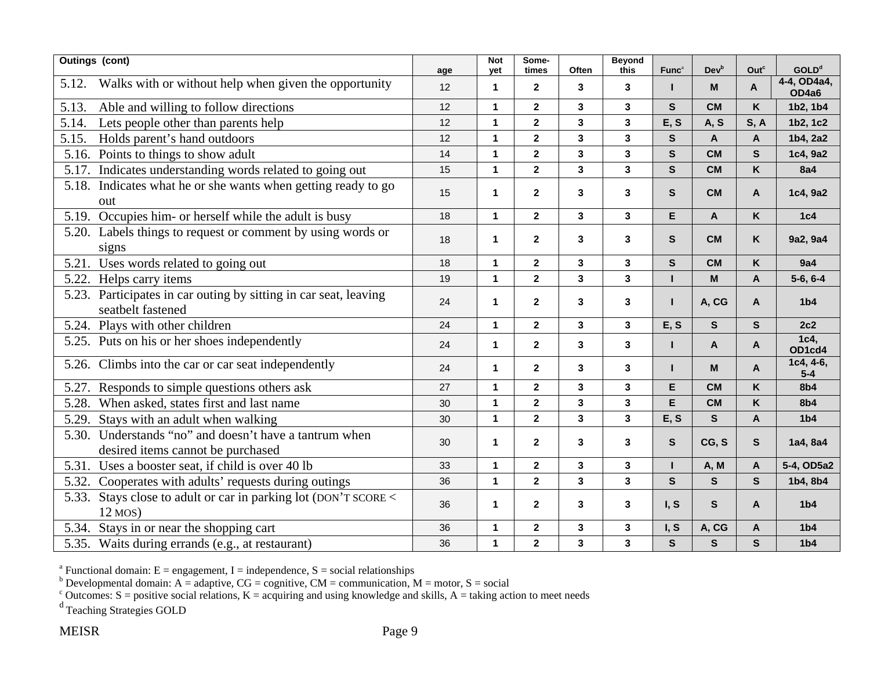|       | <b>Outings (cont)</b>                                                                 | age | <b>Not</b><br>vet | Some-<br>times          | Often        | <b>Beyond</b><br>this   | Func <sup>a</sup> | <b>Dev</b> <sup>b</sup>   | Outc                      | <b>GOLD</b> <sup>d</sup> |
|-------|---------------------------------------------------------------------------------------|-----|-------------------|-------------------------|--------------|-------------------------|-------------------|---------------------------|---------------------------|--------------------------|
| 5.12. | Walks with or without help when given the opportunity                                 | 12  | 1                 | $\overline{2}$          | 3            | 3                       |                   | M                         | $\mathsf{A}$              | 4-4, OD4a4,<br>OD4a6     |
| 5.13. | Able and willing to follow directions                                                 | 12  | $\mathbf 1$       | $\mathbf{2}$            | 3            | $\mathbf{3}$            | $\mathbf{s}$      | <b>CM</b>                 | K                         | 1b2, 1b4                 |
| 5.14. | Lets people other than parents help                                                   | 12  | $\mathbf{1}$      | $\overline{2}$          | $\mathbf{3}$ | $\mathbf{3}$            | E, S              | A, S                      | S, A                      | 1b2, 1c2                 |
| 5.15. | Holds parent's hand outdoors                                                          | 12  | $\overline{1}$    | $\overline{2}$          | $\mathbf{3}$ | $\overline{\mathbf{3}}$ | $\mathsf{s}$      | $\mathbf{A}$              | $\mathsf{A}$              | 1b4, 2a2                 |
| 5.16. | Points to things to show adult                                                        | 14  | $\mathbf{1}$      | $\overline{\mathbf{2}}$ | $\mathbf{3}$ | $\mathbf{3}$            | $\mathbf{s}$      | <b>CM</b>                 | $\mathbf{s}$              | 1c4, 9a2                 |
|       | 5.17. Indicates understanding words related to going out                              | 15  | $\mathbf{1}$      | 2 <sup>1</sup>          | $\mathbf{3}$ | $\overline{\mathbf{3}}$ | $\mathbf{s}$      | <b>CM</b>                 | K                         | <b>8a4</b>               |
|       | 5.18. Indicates what he or she wants when getting ready to go<br>out                  | 15  | 1                 | $\overline{2}$          | 3            | 3                       | $\mathbf{s}$      | <b>CM</b>                 | $\overline{A}$            | 1c4, 9a2                 |
| 5.19. | Occupies him- or herself while the adult is busy                                      | 18  | $\mathbf{1}$      | $\mathbf{2}$            | $\mathbf{3}$ | $\mathbf{3}$            | E                 | $\boldsymbol{\mathsf{A}}$ | K                         | 1c4                      |
|       | 5.20. Labels things to request or comment by using words or<br>signs                  | 18  | $\mathbf 1$       | $\overline{2}$          | 3            | $\mathbf{3}$            | $\mathbf{s}$      | <b>CM</b>                 | K                         | 9a2, 9a4                 |
| 5.21. | Uses words related to going out                                                       | 18  | $\mathbf{1}$      | $\mathbf{2}$            | 3            | $\mathbf{3}$            | $\mathbf{s}$      | <b>CM</b>                 | K                         | 9a4                      |
|       | 5.22. Helps carry items                                                               | 19  | $\mathbf{1}$      | $\overline{2}$          | $\mathbf{3}$ | $\mathbf{3}$            |                   | $\mathsf{M}$              | $\mathsf{A}$              | $5-6, 6-4$               |
|       | 5.23. Participates in car outing by sitting in car seat, leaving<br>seatbelt fastened | 24  | $\mathbf 1$       | $\overline{2}$          | $\mathbf{3}$ | $\mathbf{3}$            | п                 | A, CG                     | $\overline{A}$            | 1 <sub>b4</sub>          |
|       | 5.24. Plays with other children                                                       | 24  | $\mathbf{1}$      | $\overline{2}$          | $\mathbf{3}$ | $\mathbf{3}$            | E, S              | ${\sf s}$                 | $\mathbf{s}$              | 2c2                      |
|       | 5.25. Puts on his or her shoes independently                                          | 24  | $\mathbf{1}$      | $\overline{2}$          | 3            | $\mathbf{3}$            | п                 | $\mathsf{A}$              | $\mathsf{A}$              | 1c4,<br>OD1cd4           |
|       | 5.26. Climbs into the car or car seat independently                                   | 24  | $\mathbf 1$       | $\overline{2}$          | 3            | $\mathbf{3}$            | п                 | M                         | A                         | $1c4, 4-6,$<br>$5-4$     |
| 5.27. | Responds to simple questions others ask                                               | 27  | $\mathbf{1}$      | $\overline{2}$          | $\mathbf{3}$ | $\mathbf{3}$            | E                 | <b>CM</b>                 | K                         | <b>8b4</b>               |
| 5.28. | When asked, states first and last name                                                | 30  | 1                 | $\overline{\mathbf{2}}$ | $\mathbf{3}$ | $\mathbf{3}$            | E                 | <b>CM</b>                 | K                         | <b>8b4</b>               |
| 5.29. | Stays with an adult when walking                                                      | 30  | 1                 | $\mathbf{2}$            | $\mathbf{3}$ | $\overline{\mathbf{3}}$ | E, S              | $\mathbf{s}$              | $\mathbf{A}$              | 1 <sub>b4</sub>          |
| 5.30. | Understands "no" and doesn't have a tantrum when<br>desired items cannot be purchased | 30  | $\mathbf 1$       | $\overline{2}$          | 3            | $\mathbf{3}$            | $\mathbf{s}$      | CG, S                     | $\mathbf{s}$              | 1a4, 8a4                 |
| 5.31. | Uses a booster seat, if child is over 40 lb                                           | 33  | $\mathbf{1}$      | 2 <sup>1</sup>          | $\mathbf{3}$ | 3                       | п                 | A, M                      | $\mathbf{A}$              | 5-4, OD5a2               |
| 5.32. | Cooperates with adults' requests during outings                                       | 36  | $\mathbf{1}$      | $\overline{\mathbf{2}}$ | $\mathbf{3}$ | $\mathbf{3}$            | $\mathbf{s}$      | ${\sf s}$                 | $\mathbf{s}$              | 1b4, 8b4                 |
| 5.33. | Stays close to adult or car in parking lot (DON'T SCORE <                             |     |                   |                         |              |                         |                   |                           |                           |                          |
|       | $12$ MOS)                                                                             | 36  | $\mathbf 1$       | $\overline{2}$          | $\mathbf{3}$ | $\mathbf{3}$            | I, S              | $\mathbf{s}$              | $\overline{A}$            | 1 <sub>b4</sub>          |
| 5.34. | Stays in or near the shopping cart                                                    | 36  | $\mathbf{1}$      | $\overline{2}$          | $\mathbf{3}$ | $\mathbf{3}$            | I, S              | A, CG                     | $\boldsymbol{\mathsf{A}}$ | 1 <sub>b4</sub>          |
|       | 5.35. Waits during errands (e.g., at restaurant)                                      | 36  | $\mathbf{1}$      | $\overline{2}$          | $\mathbf{3}$ | $\mathbf{3}$            | $\mathbf{s}$      | $\mathbf{s}$              | $\mathbf{s}$              | 1 <sub>b4</sub>          |

<sup>b</sup> Developmental domain: A = adaptive, CG = cognitive, CM = communication, M = motor, S = social

<sup>c</sup> Outcomes: S = positive social relations, K = acquiring and using knowledge and skills, A = taking action to meet needs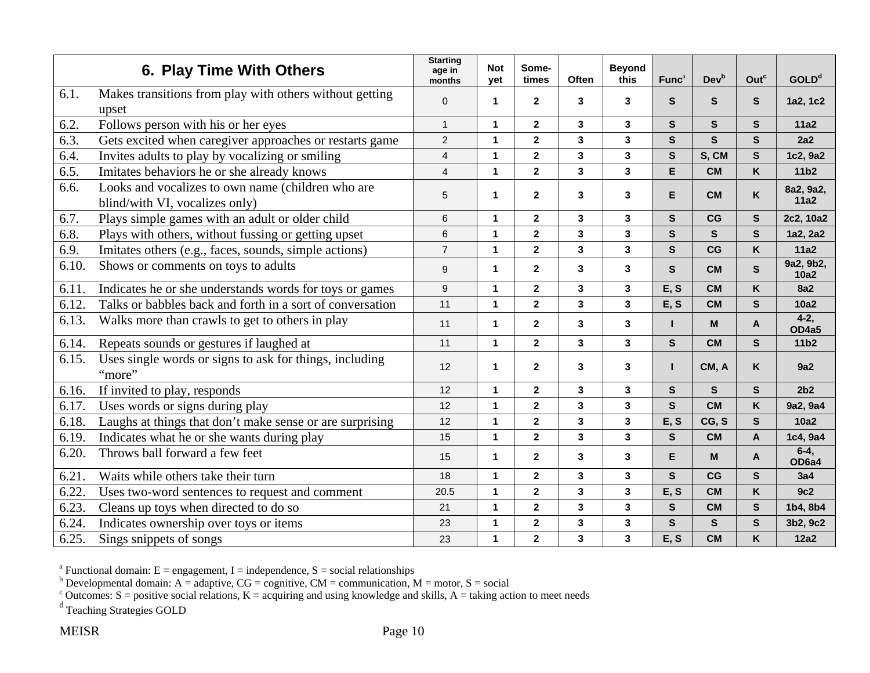|       | 6. Play Time With Others                                                            | <b>Starting</b><br>age in<br>months | <b>Not</b><br>yet | Some-<br>times          | Often                   | <b>Beyond</b><br>this | Func <sup>a</sup> | <b>Dev</b> <sup>b</sup> | Outc         | GOLD <sup>d</sup> |
|-------|-------------------------------------------------------------------------------------|-------------------------------------|-------------------|-------------------------|-------------------------|-----------------------|-------------------|-------------------------|--------------|-------------------|
| 6.1.  | Makes transitions from play with others without getting<br>upset                    | $\mathbf{0}$                        | $\mathbf 1$       | $\mathbf{2}$            | 3                       | 3                     | S.                | S                       | S            | 1a2, 1c2          |
| 6.2.  | Follows person with his or her eyes                                                 | $\mathbf{1}$                        | 1                 | $\overline{2}$          | 3                       | 3                     | S.                | S                       | S.           | 11a2              |
| 6.3.  | Gets excited when caregiver approaches or restarts game                             | $\overline{c}$                      | $\mathbf 1$       | $\mathbf{2}$            | $\mathbf{3}$            | 3                     | $\mathbf{s}$      | $\mathbf{s}$            | S.           | 2a2               |
| 6.4.  | Invites adults to play by vocalizing or smiling                                     | $\overline{4}$                      | $\mathbf{1}$      | $\mathbf{2}$            | $\mathbf{3}$            | 3                     | $\mathbf{s}$      | S, CM                   | $\mathbf{s}$ | 1c2, 9a2          |
| 6.5.  | Imitates behaviors he or she already knows                                          | $\overline{4}$                      | 1                 | $\overline{2}$          | $\overline{\mathbf{3}}$ | 3                     | E                 | <b>CM</b>               | K            | 11b <sub>2</sub>  |
| 6.6.  | Looks and vocalizes to own name (children who are<br>blind/with VI, vocalizes only) | 5                                   | 1                 | $\overline{2}$          | $\mathbf{3}$            | 3                     | E.                | <b>CM</b>               | K.           | 8a2, 9a2,<br>11a2 |
| 6.7.  | Plays simple games with an adult or older child                                     | 6                                   | $\mathbf{1}$      | $\overline{\mathbf{2}}$ | $\overline{\mathbf{3}}$ | 3                     | S                 | CG                      | $\mathbf{s}$ | 2c2, 10a2         |
| 6.8.  | Plays with others, without fussing or getting upset                                 | 6                                   | $\mathbf{1}$      | $\mathbf{2}$            | $\mathbf{3}$            | 3                     | $\mathbf{s}$      | S                       | $\mathbf{s}$ | 1a2, 2a2          |
| 6.9.  | Imitates others (e.g., faces, sounds, simple actions)                               | $\overline{7}$                      | $\mathbf{1}$      | $\overline{2}$          | 3                       | 3                     | S                 | CG                      | K            | 11a2              |
| 6.10. | Shows or comments on toys to adults                                                 | 9                                   | $\mathbf 1$       | $\mathbf{2}$            | 3                       | $\mathbf{3}$          | S.                | <b>CM</b>               | S.           | 9a2, 9b2,<br>10a2 |
| 6.11. | Indicates he or she understands words for toys or games                             | 9                                   | $\mathbf{1}$      | $\mathbf{2}$            | 3                       | 3                     | E, S              | <b>CM</b>               | K            | <b>8a2</b>        |
| 6.12  | Talks or babbles back and forth in a sort of conversation                           | 11                                  | $\mathbf{1}$      | $\overline{2}$          | $\overline{\mathbf{3}}$ | 3                     | E, S              | <b>CM</b>               | $\mathbf{s}$ | 10a2              |
| 6.13. | Walks more than crawls to get to others in play                                     | 11                                  | $\mathbf 1$       | $\mathbf{2}$            | 3                       | 3                     | п                 | M                       | A            | $4-2,$<br>OD4a5   |
| 6.14. | Repeats sounds or gestures if laughed at                                            | 11                                  | $\mathbf{1}$      | $\mathbf{2}$            | 3                       | 3                     | $\mathbf{s}$      | <b>CM</b>               | S.           | 11b <sub>2</sub>  |
| 6.15. | Uses single words or signs to ask for things, including<br>"more"                   | 12                                  | $\mathbf 1$       | $\mathbf{2}$            | $\mathbf{3}$            | 3                     | L                 | CM, A                   | K.           | 9a2               |
| 6.16. | If invited to play, responds                                                        | 12                                  | $\mathbf{1}$      | $\mathbf{2}$            | 3                       | 3                     | $\mathbf{s}$      | $\mathbf{s}$            | S            | 2 <sub>b2</sub>   |
| 6.17. | Uses words or signs during play                                                     | 12                                  | $\mathbf 1$       | $\mathbf{2}$            | 3                       | 3                     | $\mathbf{s}$      | <b>CM</b>               | K.           | 9a2, 9a4          |
| 6.18. | Laughs at things that don't make sense or are surprising                            | 12                                  | $\mathbf 1$       | $\mathbf{2}$            | 3                       | 3                     | E, S              | CG, S                   | $\mathbf{s}$ | 10a2              |
| 6.19  | Indicates what he or she wants during play                                          | 15                                  | 1                 | $\overline{2}$          | $\overline{\mathbf{3}}$ | 3                     | $\mathbf{s}$      | <b>CM</b>               | A            | 1c4, 9a4          |
| 6.20. | Throws ball forward a few feet                                                      | 15                                  | $\mathbf{1}$      | $\overline{2}$          | $\overline{\mathbf{3}}$ | 3                     | E                 | M                       | A            | $6-4,$<br>OD6a4   |
| 6.21  | Waits while others take their turn                                                  | 18                                  | $\mathbf{1}$      | $\overline{2}$          | 3                       | 3                     | $\mathbf{s}$      | CG                      | $\mathbf{s}$ | 3a4               |
| 6.22. | Uses two-word sentences to request and comment                                      | 20.5                                | $\mathbf 1$       | $\mathbf 2$             | $\mathbf{3}$            | 3                     | E, S              | <b>CM</b>               | K            | 9c2               |
| 6.23. | Cleans up toys when directed to do so                                               | 21                                  | $\mathbf 1$       | $\overline{\mathbf{2}}$ | $\mathbf{3}$            | 3                     | $\mathbf{s}$      | <b>CM</b>               | $\mathbf{s}$ | 1b4, 8b4          |
| 6.24  | Indicates ownership over toys or items                                              | 23                                  | $\mathbf{1}$      | $\overline{\mathbf{2}}$ | $\overline{\mathbf{3}}$ | 3                     | $\mathbf{s}$      | S                       | S.           | 3b2, 9c2          |
| 6.25. | Sings snippets of songs                                                             | 23                                  | $\mathbf{1}$      | $\overline{2}$          | 3                       | $\mathbf{3}$          | E, S              | <b>CM</b>               | K            | <b>12a2</b>       |

<sup>b</sup> Developmental domain: A = adaptive, CG = cognitive, CM = communication, M = motor, S = social

<sup>c</sup> Outcomes: S = positive social relations, K = acquiring and using knowledge and skills, A = taking action to meet needs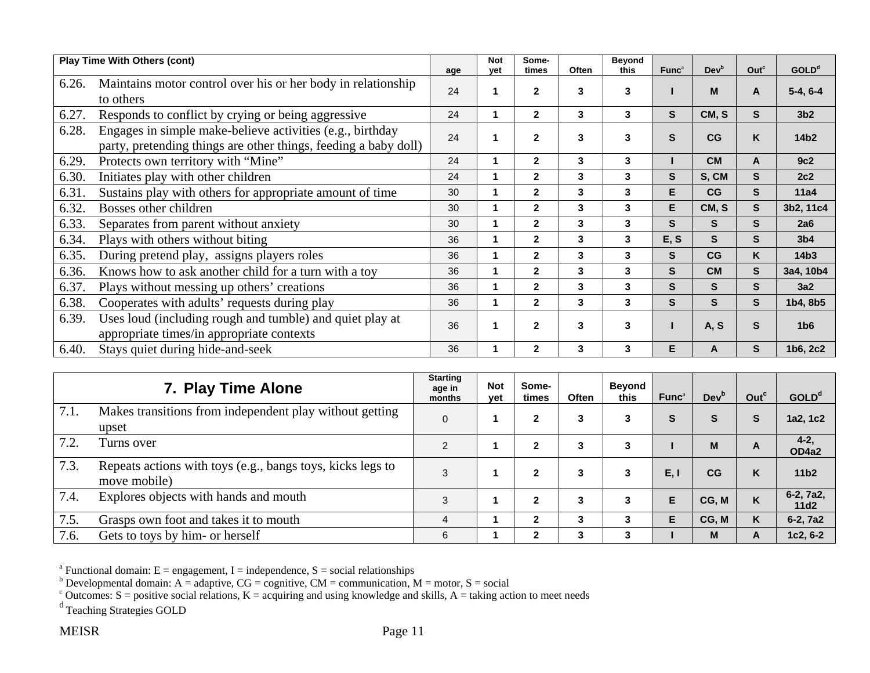|       | <b>Play Time With Others (cont)</b>                                                                                          | age | <b>Not</b><br>yet | Some-<br>times | Often | <b>Beyond</b><br>this | Func <sup>a</sup> | Dev <sup>b</sup> | Out <sup>c</sup> | GOLD <sup>d</sup> |
|-------|------------------------------------------------------------------------------------------------------------------------------|-----|-------------------|----------------|-------|-----------------------|-------------------|------------------|------------------|-------------------|
| 6.26. | Maintains motor control over his or her body in relationship<br>to others                                                    | 24  |                   | $\mathbf{2}$   | 3     | 3                     |                   | M                | A                | $5-4, 6-4$        |
| 6.27. | Responds to conflict by crying or being aggressive                                                                           | 24  | 1                 | $\mathbf{2}$   | 3     | 3                     | S                 | CM, S            | S                | 3 <sub>b2</sub>   |
| 6.28. | Engages in simple make-believe activities (e.g., birthday<br>party, pretending things are other things, feeding a baby doll) | 24  |                   | $\overline{2}$ | 3     | 3                     | S                 | CG               | Κ                | 14b <sub>2</sub>  |
| 6.29. | Protects own territory with "Mine"                                                                                           | 24  |                   | $\mathbf{2}$   | 3     | 3                     |                   | <b>CM</b>        | A                | 9c2               |
| 6.30. | Initiates play with other children                                                                                           | 24  |                   | $\overline{2}$ | 3     | 3                     | S                 | S, CM            | S                | 2c2               |
| 6.31. | Sustains play with others for appropriate amount of time                                                                     | 30  | 1                 | $\overline{2}$ | 3     | 3                     | E.                | CG               | S                | 11a4              |
| 6.32. | Bosses other children                                                                                                        | 30  | 1                 | $\mathbf 2$    | 3     | 3                     | E                 | CM, S            | S                | 3b2, 11c4         |
| 6.33. | Separates from parent without anxiety                                                                                        | 30  |                   | $\mathbf{2}$   | 3     | 3                     | S                 | S                | S                | 2a6               |
| 6.34. | Plays with others without biting                                                                                             | 36  |                   | $\mathbf{2}$   | 3     | 3                     | E, S              | S                | S                | 3 <sub>b4</sub>   |
| 6.35. | During pretend play, assigns players roles                                                                                   | 36  | 1                 | $\mathbf{2}$   | 3     | 3                     | S                 | CG               | K.               | 14 <sub>b3</sub>  |
| 6.36. | Knows how to ask another child for a turn with a toy                                                                         | 36  | 1                 | $\overline{2}$ | 3     | 3                     | S                 | <b>CM</b>        | S                | 3a4, 10b4         |
| 6.37. | Plays without messing up others' creations                                                                                   | 36  | 1                 | $\overline{2}$ | 3     | 3                     | S.                | S                | S                | 3a2               |
| 6.38. | Cooperates with adults' requests during play                                                                                 | 36  | 1                 | $\mathbf{2}$   | 3     | 3                     | S                 | S.               | S                | 1b4, 8b5          |
| 6.39. | Uses loud (including rough and tumble) and quiet play at<br>appropriate times/in appropriate contexts                        | 36  |                   | $\mathbf{2}$   | 3     | 3                     |                   | A, S             | S                | 1 <sub>b6</sub>   |
| 6.40. | Stays quiet during hide-and-seek                                                                                             | 36  |                   | $\mathbf{2}$   | 3     | 3                     | Е                 | A                | S                | 1b6, 2c2          |

|      | 7. Play Time Alone                                                         | <b>Starting</b><br>age in<br>months | <b>Not</b><br>vet | Some-<br>times | <b>Often</b> | Beyond<br>this | Func <sup>a</sup> | Dev <sup>b</sup> | Out <sup>c</sup> | GOLD <sup>d</sup>   |
|------|----------------------------------------------------------------------------|-------------------------------------|-------------------|----------------|--------------|----------------|-------------------|------------------|------------------|---------------------|
| 7.1. | Makes transitions from independent play without getting<br>upset           | $\overline{0}$                      |                   | $\mathbf{2}$   | 3            |                | S                 | S                | S                | 1a2, 1c2            |
| 7.2. | Turns over                                                                 | $\overline{2}$                      |                   | 2              | 3            | 3              |                   | M                | A                | $4 - 2$ ,<br>OD4a2  |
| 7.3. | Repeats actions with toys (e.g., bangs toys, kicks legs to<br>move mobile) | 3                                   |                   | 2              | 3            |                | E, I              | CG               | K                | 11 <sub>b2</sub>    |
| 7.4. | Explores objects with hands and mouth                                      | 3                                   |                   | $\mathbf{2}$   | 3            | 3              | E                 | CG, M            | K                | $6-2, 7a2,$<br>11d2 |
| 7.5. | Grasps own foot and takes it to mouth                                      | 4                                   |                   | 2              | 3            |                | E                 | CG, M            | K                | 6-2, 7a2            |
| 7.6. | Gets to toys by him- or herself                                            | 6                                   |                   | 2              | 3            | 3              |                   | M                | A                | $1c2, 6-2$          |

<sup>b</sup> Developmental domain: A = adaptive, CG = cognitive, CM = communication, M = motor, S = social

<sup>c</sup> Outcomes: S = positive social relations, K = acquiring and using knowledge and skills, A = taking action to meet needs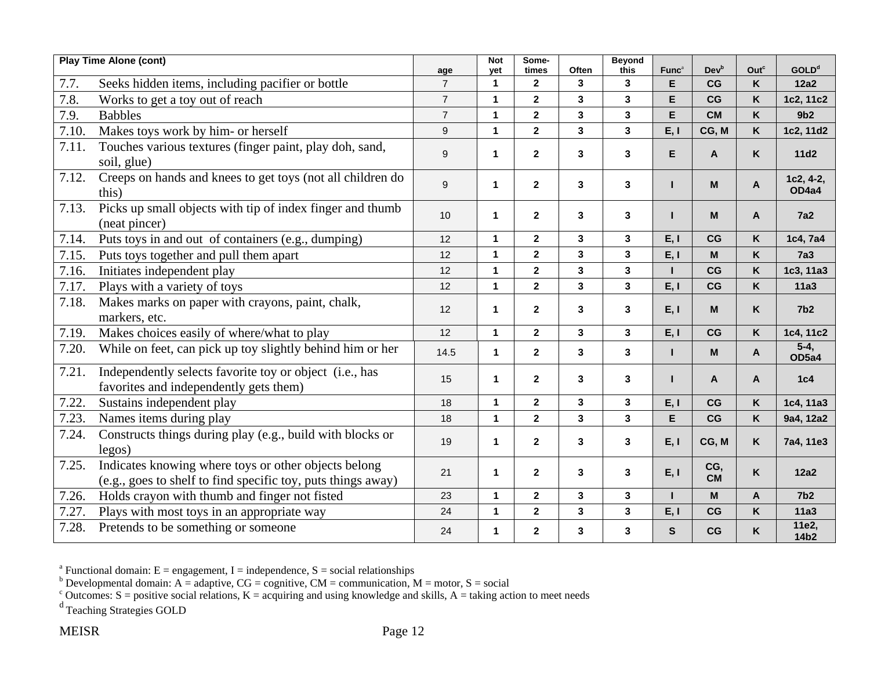|       | <b>Play Time Alone (cont)</b>                                                                                        | age            | <b>Not</b><br>vet    | Some-<br>times          | <b>Often</b>            | <b>Beyond</b><br>this | Func <sup>a</sup> | <b>Dev</b> <sup>b</sup> | Out <sup>c</sup> | <b>GOLD</b> <sup>d</sup>  |
|-------|----------------------------------------------------------------------------------------------------------------------|----------------|----------------------|-------------------------|-------------------------|-----------------------|-------------------|-------------------------|------------------|---------------------------|
| 7.7.  | Seeks hidden items, including pacifier or bottle                                                                     | $\overline{7}$ | $\mathbf{1}$         | $\mathbf{2}$            | 3                       | 3                     | E                 | CG                      | K                | <b>12a2</b>               |
| 7.8.  | Works to get a toy out of reach                                                                                      | $\overline{7}$ | $\mathbf{1}$         | $\mathbf{2}$            | 3                       | 3                     | E                 | CG                      | K                | 1c2, 11c2                 |
| 7.9.  | <b>Babbles</b>                                                                                                       | $\overline{7}$ | $\mathbf{1}$         | $\overline{\mathbf{2}}$ | $\mathbf{3}$            | 3 <sup>1</sup>        | E                 | <b>CM</b>               | K                | 9 <sub>b2</sub>           |
| 7.10  | Makes toys work by him- or herself                                                                                   | 9              | $\mathbf{1}$         | $\overline{2}$          | 3                       | $\mathbf{3}$          | E, I              | CG, M                   | Κ                | 1c2, 11d2                 |
| 7.11. | Touches various textures (finger paint, play doh, sand,<br>soil, glue)                                               | 9              | $\mathbf 1$          | $\mathbf{2}$            | 3                       | 3                     | E.                | A                       | Κ                | 11d2                      |
| 7.12. | Creeps on hands and knees to get toys (not all children do<br>this)                                                  | 9              | $\mathbf 1$          | $\mathbf{2}$            | $\mathbf{3}$            | 3                     | н                 | M                       | A                | 1c2, 4-2,<br>OD4a4        |
| 7.13. | Picks up small objects with tip of index finger and thumb<br>(neat pincer)                                           | 10             | $\mathbf{1}$         | $\overline{2}$          | 3                       | 3                     |                   | M                       | A                | <b>7a2</b>                |
| 7.14. | Puts toys in and out of containers (e.g., dumping)                                                                   | 12             | $\mathbf{1}$         | $\mathbf{2}$            | $\mathbf{3}$            | 3                     | E, I              | CG                      | K                | 1c4, 7a4                  |
| 7.15. | Puts toys together and pull them apart                                                                               | 12             | $\mathbf{1}$         | $\mathbf{2}$            | $\mathbf{3}$            | 3                     | E, I              | M                       | Κ                | 7a3                       |
| 7.16. | Initiates independent play                                                                                           | 12             | $\mathbf{1}$         | $\mathbf{2}$            | 3                       | 3                     |                   | CG                      | Κ                | 1c3, 11a3                 |
| 7.17. | Plays with a variety of toys                                                                                         | 12             | $\mathbf{1}$         | $\overline{2}$          | $\overline{\mathbf{3}}$ | 3                     | E, I              | CG                      | K                | 11a3                      |
| 7.18. | Makes marks on paper with crayons, paint, chalk,<br>markers, etc.                                                    | 12             | $\mathbf 1$          | $\mathbf{2}$            | $\mathbf{3}$            | 3                     | E, I              | M                       | K.               | 7 <sub>b2</sub>           |
| 7.19. | Makes choices easily of where/what to play                                                                           | 12             | $\mathbf{1}$         | $\overline{2}$          | $\overline{\mathbf{3}}$ | $\mathbf{3}$          | E, I              | CG                      | K                | 1c4, 11c2                 |
| 7.20. | While on feet, can pick up toy slightly behind him or her                                                            | 14.5           | $\mathbf{1}$         | $\mathbf{2}$            | $\overline{\mathbf{3}}$ | $\mathbf{3}$          | т                 | M                       | A                | $5-4$ ,<br>OD5a4          |
| 7.21. | Independently selects favorite toy or object (i.e., has<br>favorites and independently gets them)                    | 15             | $\mathbf{1}$         | $\mathbf{2}$            | 3                       | 3                     | п                 | $\mathsf{A}$            | A                | 1c4                       |
| 7.22. | Sustains independent play                                                                                            | 18             | $\mathbf{1}$         | $\mathbf{2}$            | $\mathbf{3}$            | 3                     | E, I              | CG                      | K                | 1c4, 11a3                 |
| 7.23. | Names items during play                                                                                              | 18             | $\blacktriangleleft$ | $\mathbf{2}$            | $\overline{\mathbf{3}}$ | 3                     | E                 | CG                      | K                | 9a4, 12a2                 |
| 7.24. | Constructs things during play (e.g., build with blocks or<br>legos)                                                  | 19             | 1                    | $\mathbf{2}$            | 3                       | 3                     | E, I              | CG, M                   | Κ                | 7a4, 11e3                 |
| 7.25. | Indicates knowing where toys or other objects belong<br>(e.g., goes to shelf to find specific toy, puts things away) | 21             | $\blacktriangleleft$ | $\overline{2}$          | 3                       | 3                     | E, I              | CG,<br><b>CM</b>        | K.               | 12a2                      |
| 7.26. | Holds crayon with thumb and finger not fisted                                                                        | 23             | $\overline{1}$       | $\overline{2}$          | 3                       | 3                     | п                 | M                       | A                | 7 <sub>b2</sub>           |
| 7.27. | Plays with most toys in an appropriate way                                                                           | 24             | 1                    | $\mathbf 2$             | 3                       | 3                     | E, I              | CG                      | K                | <b>11a3</b>               |
| 7.28. | Pretends to be something or someone                                                                                  | 24             | 1                    | $\mathbf{2}$            | 3                       | 3                     | $\mathbf{s}$      | CG                      | K                | 11e2,<br>14b <sub>2</sub> |

<sup>b</sup> Developmental domain: A = adaptive, CG = cognitive, CM = communication, M = motor, S = social

<sup>c</sup> Outcomes: S = positive social relations, K = acquiring and using knowledge and skills, A = taking action to meet needs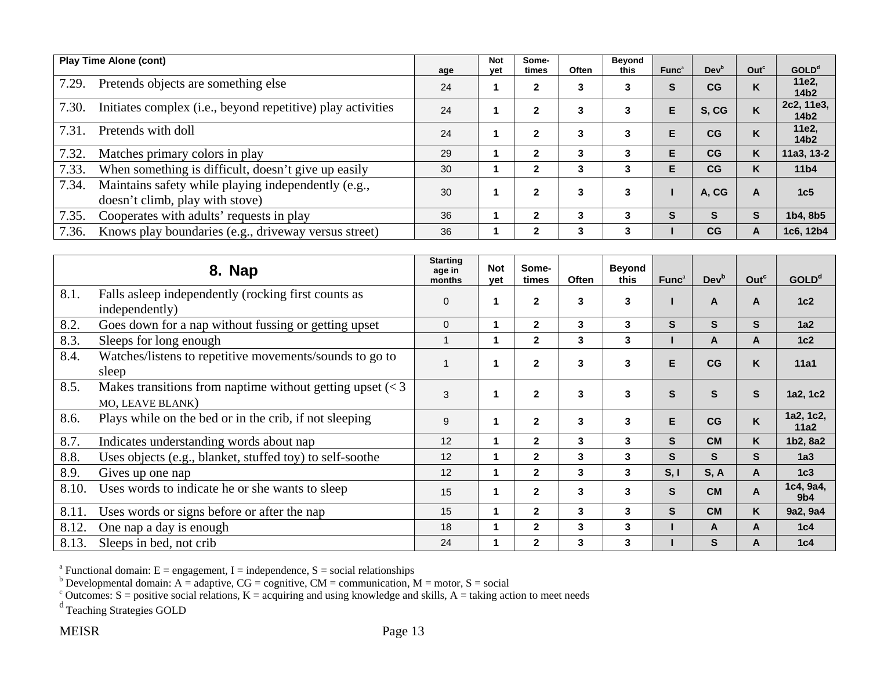|       | <b>Play Time Alone (cont)</b>                                                          | age | <b>Not</b><br>yet | Some-<br>times | Often | Beyond<br>this | Func <sup>a</sup> | Dev <sup>b</sup> | Out <sup>c</sup> | <b>GOLD</b> <sup>d</sup>       |
|-------|----------------------------------------------------------------------------------------|-----|-------------------|----------------|-------|----------------|-------------------|------------------|------------------|--------------------------------|
| 7.29. | Pretends objects are something else                                                    | 24  |                   | 2              | 3     | 3              | S                 | CG               | N                | 11e2,<br>14b <sub>2</sub>      |
| 7.30. | Initiates complex (i.e., beyond repetitive) play activities                            | 24  |                   | $\mathbf{2}$   | 3     | 3              | E                 | S.CG             | K                | 2c2, 11e3,<br>14b <sub>2</sub> |
| 7.31  | Pretends with doll                                                                     | 24  |                   | $\mathbf{2}$   | 3     | 3              | Е                 | CG               |                  | 11e2,<br>14b <sub>2</sub>      |
| 7.32. | Matches primary colors in play                                                         | 29  |                   | $\mathbf{2}$   | 3     | 3              | E                 | CG               | K                | 11a3, 13-2                     |
| 7.33. | When something is difficult, doesn't give up easily                                    | 30  |                   | $\mathbf{2}$   | 3     | 3              | Е                 | CG               | K                | 11 <sub>b4</sub>               |
| 7.34. | Maintains safety while playing independently (e.g.,<br>doesn't climb, play with stove) | 30  |                   | $\mathbf{2}$   | 3     | 3              |                   | A, CG            | A                | 1c <sub>5</sub>                |
| 7.35. | Cooperates with adults' requests in play                                               | 36  |                   | $\mathbf{2}$   | 3     | 3              | S                 | S                | S                | 1b4, 8b5                       |
| 7.36. | Knows play boundaries (e.g., driveway versus street)                                   | 36  |                   | 2              | 3     | 3              |                   | CG               | A                | 1c6, 12b4                      |

|       | 8. Nap                                                                                               | <b>Starting</b><br>age in<br>months | <b>Not</b><br>yet | Some-<br>times | <b>Often</b> | <b>Beyond</b><br>this | Func <sup>a</sup> | Dev <sup>b</sup> | Out <sup>c</sup> | GOLD <sup>d</sup>            |
|-------|------------------------------------------------------------------------------------------------------|-------------------------------------|-------------------|----------------|--------------|-----------------------|-------------------|------------------|------------------|------------------------------|
| 8.1.  | Falls asleep independently (rocking first counts as<br>independently)                                | $\mathbf 0$                         | 1                 | $\mathbf{2}$   | 3            | 3                     |                   | A                | A                | 1c2                          |
| 8.2.  | Goes down for a nap without fussing or getting upset                                                 | 0                                   | 1                 | $\mathbf{2}$   | 3            | 3                     | S.                | S.               | S                | 1a2                          |
| 8.3.  | Sleeps for long enough                                                                               | 1                                   | 1                 | $\overline{2}$ | 3            | 3                     |                   | A                | A                | 1c2                          |
| 8.4.  | Watches/listens to repetitive movements/sounds to go to<br>sleep                                     |                                     | 1                 | $\mathbf{2}$   | 3            | 3                     | E                 | CG               | ĸ                | 11a1                         |
| 8.5.  | Makes transitions from naptime without getting upset $\langle \langle 3 \rangle$<br>MO, LEAVE BLANK) | 3                                   | 1                 | $\mathbf{2}$   | 3            | 3                     | S                 | S                | S                | 1a2, 1c2                     |
| 8.6.  | Plays while on the bed or in the crib, if not sleeping                                               | 9                                   | 1                 | $\overline{2}$ | 3            | 3                     | E                 | CG               | K                | 1a2, 1c2,<br>11a2            |
| 8.7.  | Indicates understanding words about nap                                                              | 12                                  | 1                 | $\mathbf{2}$   | 3            | 3                     | S.                | <b>CM</b>        | K                | 1b2, 8a2                     |
| 8.8.  | Uses objects (e.g., blanket, stuffed toy) to self-soothe                                             | 12                                  | 1                 | $\overline{2}$ | 3            | 3                     | S.                | S.               | S.               | 1a3                          |
| 8.9.  | Gives up one nap                                                                                     | 12                                  | 1                 | $\mathbf{2}$   | 3            | 3                     | S, I              | S, A             | A                | 1c3                          |
| 8.10. | Uses words to indicate he or she wants to sleep                                                      | 15                                  | 1                 | $\mathbf 2$    | 3            | 3                     | S.                | <b>CM</b>        | A                | 1c4, 9a4,<br>9 <sub>b4</sub> |
| 8.11. | Uses words or signs before or after the nap                                                          | 15                                  | 1                 | $\overline{2}$ | 3            | 3                     | S.                | <b>CM</b>        | K                | 9a2, 9a4                     |
| 8.12. | One nap a day is enough                                                                              | 18                                  | 1                 | $\mathbf{2}$   | 3            | 3                     |                   | A                | A                | 1c4                          |
| 8.13. | Sleeps in bed, not crib                                                                              | 24                                  | 1                 | $\overline{2}$ | 3            | 3                     |                   | S                | A                | 1c4                          |

<sup>b</sup> Developmental domain: A = adaptive, CG = cognitive, CM = communication, M = motor, S = social

<sup>c</sup> Outcomes: S = positive social relations, K = acquiring and using knowledge and skills, A = taking action to meet needs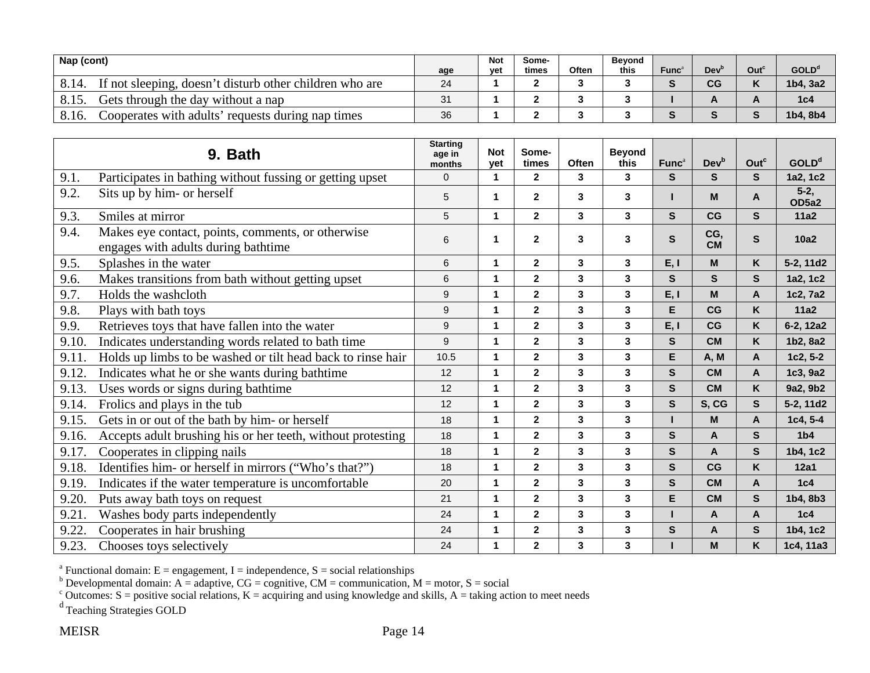| Nap (cont) |                                                         | age | <b>Not</b><br>vet | Some-<br>times | Often | <b>Bevond</b><br>this | Func <sup>a</sup> | Dev' | Out <sup>c</sup> | GOLD <sup>d</sup> |
|------------|---------------------------------------------------------|-----|-------------------|----------------|-------|-----------------------|-------------------|------|------------------|-------------------|
|            | If not sleeping, doesn't disturb other children who are | 24  |                   |                |       |                       |                   | CG   |                  | 1b4. 3a2          |
|            | Gets through the day without a nap                      | 31  |                   |                |       |                       |                   |      |                  | 1c <sub>4</sub>   |
| 8.16.      | Cooperates with adults' requests during nap times       | 36  |                   |                |       |                       |                   |      |                  | 1b4.8b4           |

|       | 9. Bath                                                                                  | <b>Starting</b><br>age in<br>months | <b>Not</b><br>yet | Some-<br>times | Often                   | <b>Beyond</b><br>this | Func <sup>a</sup> | Devb             | Out <sup>c</sup> | <b>GOLD</b> <sup>d</sup> |
|-------|------------------------------------------------------------------------------------------|-------------------------------------|-------------------|----------------|-------------------------|-----------------------|-------------------|------------------|------------------|--------------------------|
| 9.1.  | Participates in bathing without fussing or getting upset                                 | $\Omega$                            | $\mathbf{1}$      | $\overline{2}$ | 3                       | $\mathbf{3}$          | S.                | S.               | S.               | 1a2, 1c2                 |
| 9.2.  | Sits up by him- or herself                                                               | 5                                   | 1                 | $\mathbf{2}$   | 3                       | 3                     |                   | M                | A                | $5-2,$<br>OD5a2          |
| 9.3.  | Smiles at mirror                                                                         | 5                                   | 1                 | $\overline{2}$ | 3                       | 3                     | S.                | CG               | S.               | 11a2                     |
| 9.4.  | Makes eye contact, points, comments, or otherwise<br>engages with adults during bathtime | 6                                   | 1                 | $\mathbf{2}$   | 3                       | 3                     | S                 | CG,<br><b>CM</b> | S                | 10a2                     |
| 9.5.  | Splashes in the water                                                                    | 6                                   | 1                 | $\mathbf{2}$   | 3                       | 3                     | E, I              | M                | Κ                | 5-2, 11d2                |
| 9.6.  | Makes transitions from bath without getting upset                                        | 6                                   | 1                 | $\overline{2}$ | 3                       | 3                     | S.                | S.               | S.               | 1a2, 1c2                 |
| 9.7.  | Holds the washcloth                                                                      | 9                                   | 1                 | $\overline{2}$ | 3                       | 3                     | E, I              | M                | A                | 1c2, 7a2                 |
| 9.8.  | Plays with bath toys                                                                     | 9                                   | 1                 | $\mathbf{2}$   | $\mathbf{3}$            | 3                     | E                 | CG               | K                | 11a2                     |
| 9.9.  | Retrieves toys that have fallen into the water                                           | 9                                   | 1                 | $\overline{2}$ | $\overline{\mathbf{3}}$ | 3                     | E, I              | CG               | K                | 6-2, 12a2                |
| 9.10. | Indicates understanding words related to bath time                                       | 9                                   | 1                 | $\mathbf{2}$   | $\mathbf{3}$            | 3                     | S.                | <b>CM</b>        | K                | 1b2, 8a2                 |
| 9.11. | Holds up limbs to be washed or tilt head back to rinse hair                              | 10.5                                | 1                 | $\mathbf{2}$   | 3                       | 3                     | E                 | <b>A, M</b>      | A                | $1c2, 5-2$               |
| 9.12. | Indicates what he or she wants during bathtime                                           | 12                                  | $\mathbf{1}$      | $\mathbf{2}$   | $\mathbf{3}$            | 3                     | S                 | <b>CM</b>        | A                | 1c3, 9a2                 |
| 9.13. | Uses words or signs during bath time                                                     | 12                                  | 1                 | $\overline{2}$ | $\overline{\mathbf{3}}$ | 3                     | $\mathbf{s}$      | <b>CM</b>        | K                | 9a2, 9b2                 |
| 9.14. | Frolics and plays in the tub                                                             | 12                                  | 1                 | $\mathbf{2}$   | $\overline{\mathbf{3}}$ | 3                     | S                 | S, CG            | S                | 5-2, 11d2                |
| 9.15. | Gets in or out of the bath by him- or herself                                            | 18                                  | 1                 | $\mathbf{2}$   | $\mathbf{3}$            | 3                     |                   | M                | A                | $1c4, 5-4$               |
| 9.16. | Accepts adult brushing his or her teeth, without protesting                              | 18                                  | 1                 | $\mathbf{2}$   | $\mathbf{3}$            | 3                     | S.                | A                | S.               | 1 <sub>b4</sub>          |
| 9.17. | Cooperates in clipping nails                                                             | 18                                  | 1                 | $\mathbf{2}$   | 3                       | 3                     | S                 | A                | S                | 1b4, 1c2                 |
| 9.18. | Identifies him- or herself in mirrors ("Who's that?")                                    | 18                                  | 1                 | $\mathbf{2}$   | $\mathbf{3}$            | 3                     | S                 | CG               | K                | <b>12a1</b>              |
| 9.19. | Indicates if the water temperature is uncomfortable                                      | 20                                  | $\mathbf{1}$      | $\mathbf{2}$   | $\overline{\mathbf{3}}$ | 3                     | S                 | <b>CM</b>        | A                | 1c4                      |
| 9.20. | Puts away bath toys on request                                                           | 21                                  | 1                 | $\overline{2}$ | $\overline{\mathbf{3}}$ | 3                     | E.                | <b>CM</b>        | S.               | 1b4, 8b3                 |
| 9.21. | Washes body parts independently                                                          | 24                                  | 1                 | $\overline{2}$ | 3                       | 3                     |                   | A                | A                | 1c4                      |
| 9.22. | Cooperates in hair brushing                                                              | 24                                  | 1                 | $\mathbf{2}$   | $\mathbf{3}$            | 3                     | $\mathbf{s}$      | A                | S                | 1b4, 1c2                 |
| 9.23. | Chooses toys selectively                                                                 | 24                                  | 1                 | $\mathbf{2}$   | 3                       | 3                     |                   | M                | K                | 1c4, 11a3                |

<sup>b</sup> Developmental domain: A = adaptive, CG = cognitive, CM = communication, M = motor, S = social

<sup>c</sup> Outcomes: S = positive social relations, K = acquiring and using knowledge and skills, A = taking action to meet needs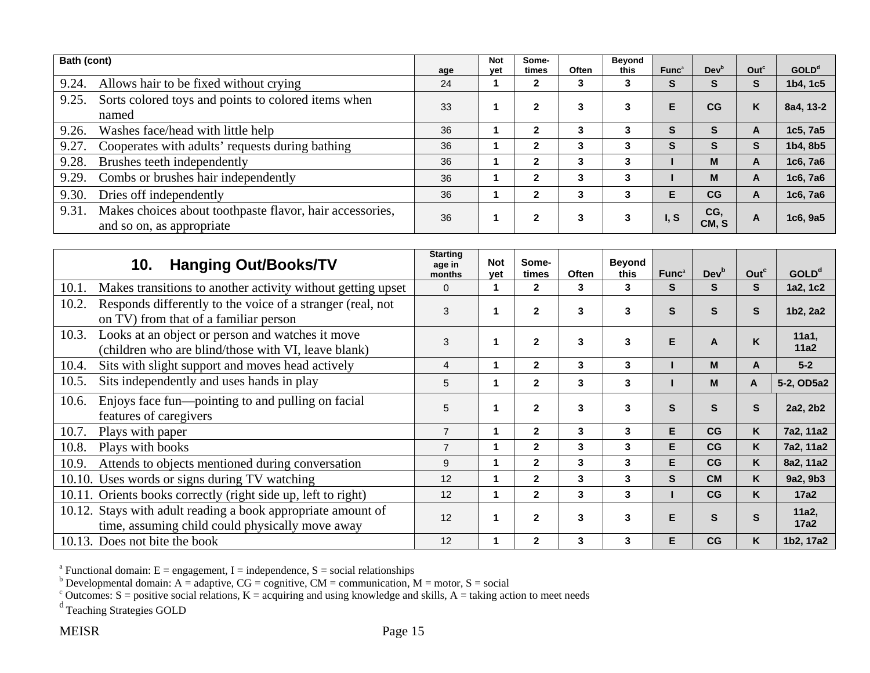| Bath (cont) |                                                                                       | age | <b>Not</b><br>yet | Some-<br>times | Often | Beyond<br>this | Func <sup>a</sup> | Dev <sup>b</sup> | Out <sup>c</sup> | <b>GOLD</b> <sup>d</sup> |
|-------------|---------------------------------------------------------------------------------------|-----|-------------------|----------------|-------|----------------|-------------------|------------------|------------------|--------------------------|
| 9.24.       | Allows hair to be fixed without crying                                                | 24  |                   | $\mathbf{2}$   | 3     | 3              | S                 | S                | S                | 1b4, 1c5                 |
| 9.25.       | Sorts colored toys and points to colored items when<br>named                          | 33  |                   | 2              | 3     |                | E                 | CG               | K                | 8a4, 13-2                |
| 9.26.       | Washes face/head with little help                                                     | 36  |                   | $\mathbf{2}$   | 3     | 3              | S                 | S                | А                | 1c5, 7a5                 |
| 9.27.       | Cooperates with adults' requests during bathing                                       | 36  |                   | 2              | 3     | 3              | S                 | S                | S                | 1b4, 8b5                 |
| 9.28.       | Brushes teeth independently                                                           | 36  |                   | $\mathbf{2}$   | 3     | 3              |                   | M                | A                | 1c6, 7a6                 |
| 9.29.       | Combs or brushes hair independently                                                   | 36  |                   | $\mathbf{2}$   | 3     | 3              |                   | M                | A                | 1c6, 7a6                 |
| 9.30.       | Dries off independently                                                               | 36  |                   | $\mathbf{2}$   | 3     | 3              | E                 | CG               | A                | 1c6, 7a6                 |
| 9.31.       | Makes choices about toothpaste flavor, hair accessories,<br>and so on, as appropriate | 36  |                   | $\mathbf{2}$   | 3     |                | I, S              | CG.<br>CM, S     | А                | 1c6, 9a5                 |

| <b>Hanging Out/Books/TV</b><br>10.                                                                               | <b>Starting</b><br>age in<br>months | <b>Not</b><br>yet | Some-<br>times | <b>Often</b> | <b>Beyond</b><br>this | Func <sup>a</sup> | Dev <sup>b</sup> | Out <sup>c</sup> | GOLD <sup>d</sup> |
|------------------------------------------------------------------------------------------------------------------|-------------------------------------|-------------------|----------------|--------------|-----------------------|-------------------|------------------|------------------|-------------------|
| Makes transitions to another activity without getting upset<br>10.1.                                             | $\Omega$                            |                   | $\mathbf{2}$   | 3            | 3                     | S                 | S                | S                | 1a2, 1c2          |
| Responds differently to the voice of a stranger (real, not<br>10.2.<br>on TV) from that of a familiar person     | 3                                   |                   | $\mathbf{2}$   | 3            | 3                     | S                 | S                | S                | 1b2, 2a2          |
| Looks at an object or person and watches it move<br>10.3.<br>(children who are blind/those with VI, leave blank) | 3                                   |                   | $\mathbf{2}$   | 3            | 3                     | E                 | A                | K                | 11a1,<br>11a2     |
| Sits with slight support and moves head actively<br>10.4.                                                        | $\overline{4}$                      |                   | $\mathbf{2}$   | 3            | 3                     |                   | M                | A                | $5-2$             |
| Sits independently and uses hands in play<br>10.5.                                                               | 5                                   |                   | $\mathbf{2}$   | 3            | 3                     |                   | м                | A                | 5-2, OD5a2        |
| Enjoys face fun—pointing to and pulling on facial<br>10.6.<br>features of caregivers                             | 5                                   | 1                 | $\mathbf{2}$   | 3            | 3                     | S                 | S                | S                | 2a2, 2b2          |
| Plays with paper<br>10.7.                                                                                        | $\overline{7}$                      |                   | $\overline{2}$ | 3            | 3                     | E.                | CG               | K                | 7a2, 11a2         |
| Plays with books<br>10.8.                                                                                        | $\overline{7}$                      |                   | $\mathbf{2}$   | 3            | 3                     | E.                | CG               | K                | 7a2, 11a2         |
| Attends to objects mentioned during conversation<br>10.9.                                                        | 9                                   |                   | $\mathbf{2}$   | 3            | 3                     | E                 | CG               | K                | 8a2, 11a2         |
| 10.10. Uses words or signs during TV watching                                                                    | 12                                  |                   | $\mathbf{2}$   | 3            | 3                     | S                 | <b>CM</b>        | K                | 9a2, 9b3          |
| Orients books correctly (right side up, left to right)<br>10.11.                                                 | 12                                  |                   | $\mathbf{2}$   | 3            | 3                     |                   | CG               | K                | 17a2              |
| 10.12. Stays with adult reading a book appropriate amount of<br>time, assuming child could physically move away  | 12                                  |                   | $\mathbf{2}$   | 3            | 3                     | Е                 | S                | S.               | 11a2,<br>17a2     |
| 10.13. Does not bite the book                                                                                    | 12                                  |                   | $\mathbf{2}$   | 3            | 3                     | Е                 | CG               | K                | 1b2, 17a2         |

<sup>b</sup> Developmental domain: A = adaptive, CG = cognitive, CM = communication, M = motor, S = social

<sup>c</sup> Outcomes: S = positive social relations, K = acquiring and using knowledge and skills, A = taking action to meet needs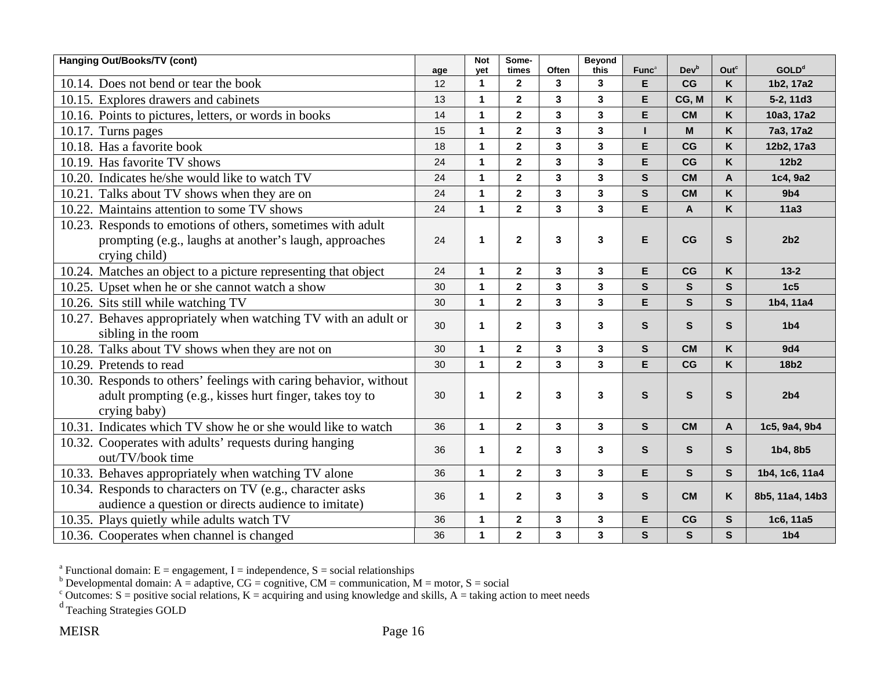| Hanging Out/Books/TV (cont)                                                                                                                  | age | <b>Not</b><br>vet | Some-<br>times          | Often                   | <b>Beyond</b><br>this   | Func <sup>a</sup> | <b>Dev</b> <sup>b</sup> | Outc         | <b>GOLD</b> <sup>d</sup> |
|----------------------------------------------------------------------------------------------------------------------------------------------|-----|-------------------|-------------------------|-------------------------|-------------------------|-------------------|-------------------------|--------------|--------------------------|
| 10.14. Does not bend or tear the book                                                                                                        | 12  | $\mathbf{1}$      | $\mathbf{2}$            | 3                       | $\mathbf{3}$            | E.                | CG                      | K            | 1b2, 17a2                |
| 10.15. Explores drawers and cabinets                                                                                                         | 13  | 1                 | $\mathbf{2}$            | $\mathbf{3}$            | $\mathbf{3}$            | E                 | CG, M                   | K            | 5-2, 11d3                |
| 10.16. Points to pictures, letters, or words in books                                                                                        | 14  | 1                 | $\overline{2}$          | $\overline{\mathbf{3}}$ | $\mathbf{3}$            | E                 | <b>CM</b>               | K            | 10a3, 17a2               |
| 10.17. Turns pages                                                                                                                           | 15  | 1                 | $\overline{2}$          | $\mathbf{3}$            | $\overline{\mathbf{3}}$ | $\mathbf{I}$      | M                       | K            | 7a3, 17a2                |
| 10.18. Has a favorite book                                                                                                                   | 18  | 1                 | $\mathbf{2}$            | $\mathbf{3}$            | $\mathbf{3}$            | E                 | CG                      | Κ            | 12b2, 17a3               |
| 10.19. Has favorite TV shows                                                                                                                 | 24  | 1                 | $\overline{2}$          | $\overline{\mathbf{3}}$ | $\overline{\mathbf{3}}$ | E                 | CG                      | K            | 12b <sub>2</sub>         |
| 10.20. Indicates he/she would like to watch TV                                                                                               | 24  | 1                 | $\overline{2}$          | $\overline{\mathbf{3}}$ | $\mathbf{3}$            | $\mathsf{s}$      | <b>CM</b>               | $\mathbf{A}$ | 1c4, 9a2                 |
| 10.21. Talks about TV shows when they are on                                                                                                 | 24  | 1                 | $\overline{2}$          | $\overline{\mathbf{3}}$ | $\overline{\mathbf{3}}$ | $\mathsf{s}$      | <b>CM</b>               | $\mathsf{K}$ | 9 <sub>b4</sub>          |
| 10.22. Maintains attention to some TV shows                                                                                                  | 24  | 1                 | $\overline{2}$          | $\overline{\mathbf{3}}$ | $\overline{\mathbf{3}}$ | E                 | $\pmb{\mathsf{A}}$      | K            | <b>11a3</b>              |
| 10.23. Responds to emotions of others, sometimes with adult<br>prompting (e.g., laughs at another's laugh, approaches                        | 24  | 1                 | $\mathbf{2}$            | $\mathbf{3}$            | $\mathbf{3}$            | E                 | CG                      | $\mathbf s$  | 2b2                      |
| crying child)                                                                                                                                |     |                   |                         |                         |                         |                   |                         |              |                          |
| 10.24. Matches an object to a picture representing that object                                                                               | 24  | 1                 | $\mathbf 2$             | 3                       | 3                       | E                 | CG                      | K            | $13 - 2$                 |
| 10.25. Upset when he or she cannot watch a show                                                                                              | 30  | $\mathbf{1}$      | $\overline{2}$          | $\mathbf{3}$            | $\mathbf{3}$            | $\mathsf{s}$      | $\mathbf{s}$            | $\mathbf{s}$ | 1c5                      |
| 10.26. Sits still while watching TV                                                                                                          | 30  | $\mathbf{1}$      | $\mathbf{2}$            | $\mathbf{3}$            | 3                       | E                 | $\mathbf{s}$            | $\mathbf{s}$ | 1b4, 11a4                |
| 10.27. Behaves appropriately when watching TV with an adult or<br>sibling in the room                                                        | 30  | 1                 | $\mathbf{2}$            | 3                       | $\mathbf{3}$            | $\mathsf{s}$      | $\mathbf{s}$            | $\mathsf{s}$ | 1 <sub>b4</sub>          |
| 10.28. Talks about TV shows when they are not on                                                                                             | 30  | $\mathbf{1}$      | $\mathbf{2}$            | $\mathbf{3}$            | $\mathbf{3}$            | $\mathsf{s}$      | <b>CM</b>               | K            | 9d4                      |
| 10.29. Pretends to read                                                                                                                      | 30  | $\mathbf{1}$      | $\overline{2}$          | $\overline{\mathbf{3}}$ | $\overline{\mathbf{3}}$ | E                 | CG                      | K            | 18b2                     |
| 10.30. Responds to others' feelings with caring behavior, without<br>adult prompting (e.g., kisses hurt finger, takes toy to<br>crying baby) | 30  | 1                 | $\mathbf{2}$            | 3                       | $\mathbf{3}$            | $\mathbf{s}$      | $\mathbf{s}$            | $\mathbf s$  | 2b4                      |
| 10.31. Indicates which TV show he or she would like to watch                                                                                 | 36  | $\mathbf{1}$      | $\overline{2}$          | 3                       | $\mathbf{3}$            | $\mathbf{s}$      | <b>CM</b>               | $\mathbf{A}$ | 1c5, 9a4, 9b4            |
| 10.32. Cooperates with adults' requests during hanging<br>out/TV/book time                                                                   | 36  | 1                 | $\mathbf{2}$            | 3                       | 3                       | S                 | $\mathbf{s}$            | $\mathbf{s}$ | 1b4, 8b5                 |
| 10.33. Behaves appropriately when watching TV alone                                                                                          | 36  | $\mathbf{1}$      | $\overline{2}$          | $\overline{\mathbf{3}}$ | $\mathbf{3}$            | E                 | $\mathbf{s}$            | $\mathbf{s}$ | 1b4, 1c6, 11a4           |
| 10.34. Responds to characters on TV (e.g., character asks<br>audience a question or directs audience to imitate)                             | 36  | 1                 | $\mathbf 2$             | 3                       | 3                       | S                 | <b>CM</b>               | K            | 8b5, 11a4, 14b3          |
| 10.35. Plays quietly while adults watch TV                                                                                                   | 36  | 1                 | $\mathbf 2$             | $\mathbf{3}$            | $\mathbf 3$             | E                 | CG                      | $\mathbf{s}$ | 1c6, 11a5                |
| 10.36. Cooperates when channel is changed                                                                                                    | 36  | $\mathbf{1}$      | $\overline{\mathbf{2}}$ | $\overline{\mathbf{3}}$ | $\overline{\mathbf{3}}$ | $\mathsf{s}$      | $\mathbf{s}$            | $\mathbf s$  | 1 <sub>b4</sub>          |

<sup>b</sup> Developmental domain: A = adaptive, CG = cognitive, CM = communication, M = motor, S = social

<sup>c</sup> Outcomes: S = positive social relations, K = acquiring and using knowledge and skills, A = taking action to meet needs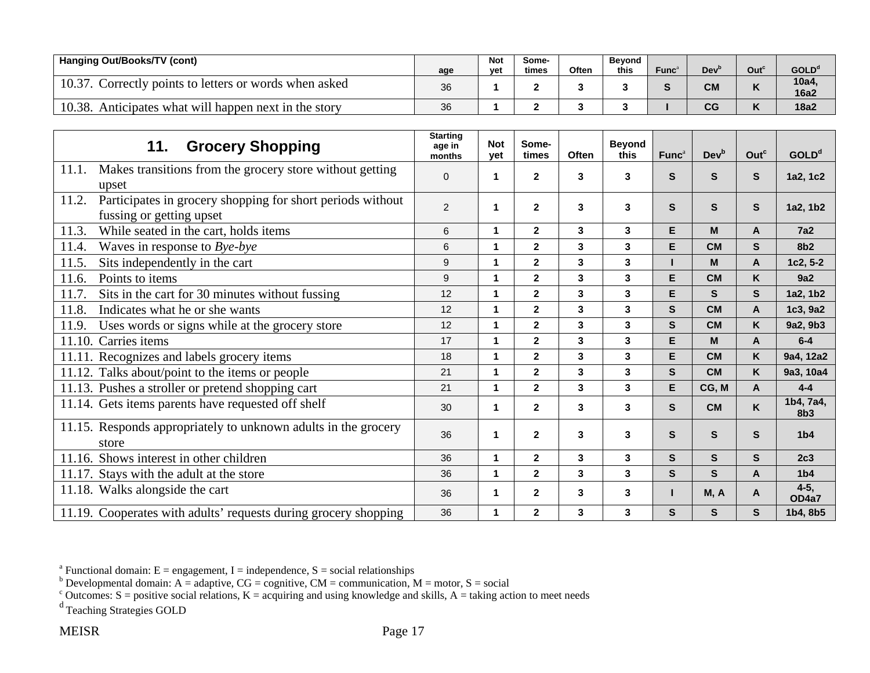| Hanging Out/Books/TV (cont)                             | age | <b>Not</b><br>vet | Some-<br>times | Often | <b>Bevond</b><br>this | Func | Dev <sup>1</sup> | Out <sup>c</sup> | GOLD <sup>d</sup>    |
|---------------------------------------------------------|-----|-------------------|----------------|-------|-----------------------|------|------------------|------------------|----------------------|
| Correctly points to letters or words when asked         | 36  |                   |                |       |                       |      | <b>CM</b>        |                  | 10a4,<br><b>16a2</b> |
| 10.38<br>Anticipates what will happen next in the story | 36  |                   |                |       |                       |      | $\sim$<br>uu     |                  | 18a2                 |

| <b>Grocery Shopping</b><br>11.                                                                  | <b>Starting</b><br>age in<br>months | <b>Not</b><br>vet | Some-<br>times          | <b>Often</b> | <b>Beyond</b><br>this | Func <sup>a</sup> | Dev <sup>b</sup> | Out <sup>c</sup> | <b>GOLD<sup>d</sup></b>      |
|-------------------------------------------------------------------------------------------------|-------------------------------------|-------------------|-------------------------|--------------|-----------------------|-------------------|------------------|------------------|------------------------------|
| 11.1.<br>Makes transitions from the grocery store without getting<br>upset                      | $\Omega$                            | 1                 | $\mathbf{2}$            | 3            | 3                     | S                 | S.               | S                | 1a2, 1c2                     |
| Participates in grocery shopping for short periods without<br>11.2.<br>fussing or getting upset | $\overline{2}$                      | 1                 | $\mathbf{2}$            | 3            | 3                     | S                 | S                | S                | 1a2, 1b2                     |
| While seated in the cart, holds items<br>11.3.                                                  | 6                                   | 1                 | $\mathbf{2}$            | 3            | 3                     | Е                 | M                | A                | <b>7a2</b>                   |
| Waves in response to Bye-bye<br>11.4.                                                           | 6                                   | 1                 | $\mathbf{2}$            | 3            | 3                     | E                 | <b>CM</b>        | S                | 8 <sub>b2</sub>              |
| Sits independently in the cart<br>11.5.                                                         | 9                                   | 1                 | $\mathbf{2}$            | 3            | 3                     |                   | M                | A                | 1c2, 5-2                     |
| Points to items<br>11.6.                                                                        | 9                                   | 1                 | $\mathbf{2}$            | 3            | 3                     | Е                 | <b>CM</b>        | Κ                | 9a2                          |
| Sits in the cart for 30 minutes without fussing<br>11.7.                                        | 12                                  | 1                 | $\mathbf{2}$            | 3            | 3                     | E                 | S.               | S                | 1a2, 1b2                     |
| Indicates what he or she wants<br>11.8.                                                         | 12                                  | 1                 | $\mathbf{2}$            | 3            | 3                     | S                 | <b>CM</b>        | A                | 1c3, 9a2                     |
| Uses words or signs while at the grocery store<br>11.9.                                         | 12                                  | 1                 | $\overline{\mathbf{2}}$ | $\mathbf{3}$ | 3                     | $\mathbf{s}$      | <b>CM</b>        | Κ                | 9a2, 9b3                     |
| Carries items<br>11.10.                                                                         | 17                                  | 1                 | $\overline{\mathbf{2}}$ | $\mathbf{3}$ | 3                     | E                 | M                | A                | $6-4$                        |
| 11.11. Recognizes and labels grocery items                                                      | 18                                  | 1                 | $\mathbf{2}$            | 3            | 3                     | Е                 | <b>CM</b>        | K                | 9a4, 12a2                    |
| 11.12. Talks about/point to the items or people                                                 | 21                                  | 1                 | $\mathbf{2}$            | 3            | 3                     | $\mathbf{s}$      | <b>CM</b>        | Κ                | 9a3, 10a4                    |
| 11.13. Pushes a stroller or pretend shopping cart                                               | 21                                  | 1                 | $\mathbf{2}$            | $\mathbf{3}$ | $\mathbf{3}$          | Е                 | CG, M            | A                | $4 - 4$                      |
| 11.14. Gets items parents have requested off shelf                                              | 30                                  | 1                 | $\mathbf{2}$            | $\mathbf{3}$ | $\mathbf{3}$          | S.                | <b>CM</b>        | K                | 1b4, 7a4,<br>8 <sub>b3</sub> |
| 11.15. Responds appropriately to unknown adults in the grocery<br>store                         | 36                                  | 1                 | $\mathbf{2}$            | 3            | 3                     | $\mathbf{s}$      | S                | S                | 1 <sub>b4</sub>              |
| 11.16. Shows interest in other children                                                         | 36                                  | 1                 | $\overline{\mathbf{2}}$ | 3            | 3                     | S                 | S.               | $\mathbf{s}$     | 2c3                          |
| 11.17. Stays with the adult at the store                                                        | 36                                  | 1                 | $\overline{\mathbf{2}}$ | 3            | 3                     | S.                | S                | A                | 1 <sub>b4</sub>              |
| 11.18. Walks alongside the cart                                                                 | 36                                  | 1                 | $\mathbf{2}$            | 3            | 3                     |                   | M, A             | A                | $4-5,$<br>OD4a7              |
| 11.19. Cooperates with adults' requests during grocery shopping                                 | 36                                  | 1                 | $\mathbf{2}$            | 3            | 3                     | S                 | S.               | S                | 1b4, 8b5                     |

<sup>b</sup> Developmental domain: A = adaptive, CG = cognitive, CM = communication, M = motor, S = social

<sup>c</sup> Outcomes: S = positive social relations, K = acquiring and using knowledge and skills, A = taking action to meet needs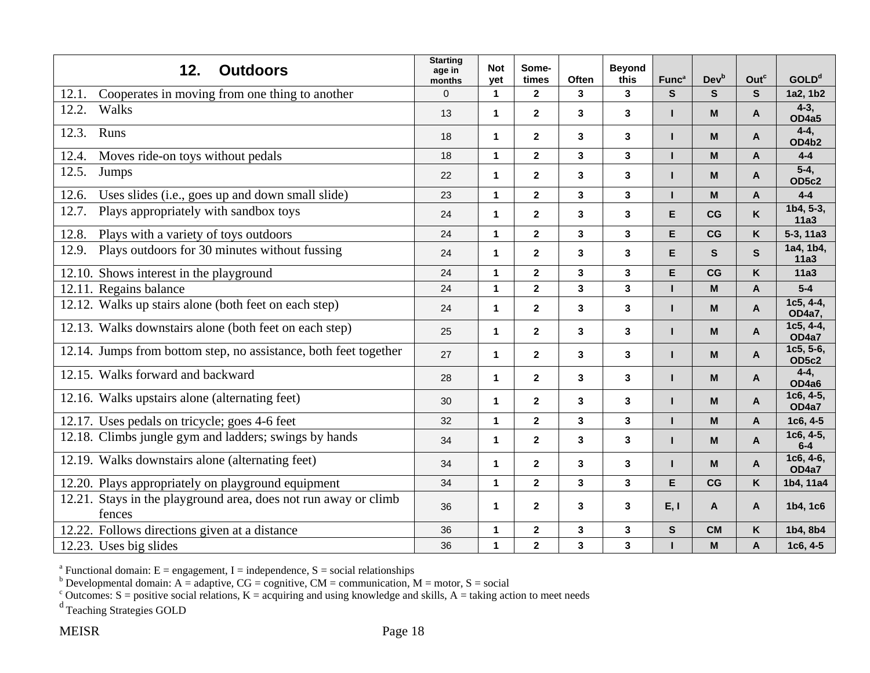| 12.<br><b>Outdoors</b>                                                    | <b>Starting</b><br>age in<br>months | <b>Not</b><br>yet | Some-<br>times          | <b>Often</b>            | <b>Beyond</b><br>this   | Func <sup>a</sup> | Dev <sup>b</sup>                                                                      | Out <sup>c</sup> | GOLD <sup>d</sup>         |
|---------------------------------------------------------------------------|-------------------------------------|-------------------|-------------------------|-------------------------|-------------------------|-------------------|---------------------------------------------------------------------------------------|------------------|---------------------------|
| Cooperates in moving from one thing to another<br>12.1.                   | $\mathbf 0$                         | $\mathbf{1}$      | $\boldsymbol{2}$        | 3                       | 3                       | ${\sf s}$         | S                                                                                     | S                | 1a2, 1b2                  |
| Walks<br>12.2.                                                            | 13                                  | 1                 | $\mathbf{2}$            | $\mathbf{3}$            | 3                       | п                 | $\mathbf M$                                                                           | A                | $4 - 3,$<br>OD4a5         |
| 12.3.<br>Runs                                                             | 18                                  | 1                 | $\mathbf{2}$            | 3                       | 3                       |                   | M                                                                                     | A                | $4 - 4$ ,<br>OD4b2        |
| 12.4.<br>Moves ride-on toys without pedals                                | 18                                  | $\mathbf{1}$      | $\mathbf{2}$            | $\overline{\mathbf{3}}$ | $\overline{\mathbf{3}}$ | п                 | M                                                                                     | $\mathsf{A}$     | $4 - 4$                   |
| 12.5.<br>Jumps                                                            | 22                                  | 1                 | $\mathbf{2}$            | $\mathbf{3}$            | 3                       | ш                 | $\boldsymbol{\mathsf{M}}$                                                             | A                | $5-4,$<br>OD5c2           |
| Uses slides (i.e., goes up and down small slide)<br>12.6.                 | 23                                  | $\mathbf 1$       | $\mathbf 2$             | $\mathbf 3$             | 3                       |                   | M                                                                                     | A                | $4 - 4$                   |
| Plays appropriately with sandbox toys<br>12.7.                            | 24                                  | 1                 | $\mathbf{2}$            | $\mathbf{3}$            | 3                       | E                 | CG                                                                                    | K                | $1b4, 5-3,$<br>11a3       |
| 12.8.<br>Plays with a variety of toys outdoors                            | 24                                  | $\mathbf 1$       | $\mathbf{2}$            | $\mathbf 3$             | 3                       | E                 | CG                                                                                    | K                | $5-3, 11a3$               |
| Plays outdoors for 30 minutes without fussing<br>12.9.                    | 24                                  | 1                 | $\mathbf{2}$            | $\mathbf{3}$            | 3                       | E                 | S                                                                                     | $\mathbf{s}$     | 1a4, 1b4,<br>11a3         |
| 12.10. Shows interest in the playground                                   | 24                                  | $\mathbf{1}$      | $\overline{2}$          | $\mathbf{3}$            | $\overline{\mathbf{3}}$ | E                 | CG                                                                                    | Κ                | <b>11a3</b>               |
| 12.11. Regains balance                                                    | 24                                  | $\mathbf 1$       | $\mathbf 2$             | $\mathbf 3$             | 3                       |                   | M                                                                                     | Α                | $5-4$                     |
| 12.12. Walks up stairs alone (both feet on each step)                     | 24                                  | 1                 | $\overline{2}$          | 3                       | 3                       | п                 | M                                                                                     | $\mathsf{A}$     | $1c5, 4-4,$<br>OD4a7,     |
| 12.13. Walks downstairs alone (both feet on each step)                    | 25                                  | 1                 | $\mathbf{2}$            | $\mathbf{3}$            | 3                       | н                 | $\mathsf{M}% _{T}=\mathsf{M}_{T}\!\left( a,b\right) ,\ \mathsf{M}_{T}=\mathsf{M}_{T}$ | A                | $1c5, 4-4,$<br>OD4a7      |
| 12.14. Jumps from bottom step, no assistance, both feet together          | 27                                  | $\mathbf{1}$      | $\mathbf{2}$            | $\mathbf{3}$            | 3                       | ш                 | M                                                                                     | A                | 1c5, 5-6,<br><b>OD5c2</b> |
| 12.15. Walks forward and backward                                         | 28                                  | 1                 | $\mathbf{2}$            | 3                       | 3                       | н                 | M                                                                                     | A                | $4 - 4$ ,<br>OD4a6        |
| 12.16. Walks upstairs alone (alternating feet)                            | 30                                  | 1                 | $\overline{2}$          | 3                       | 3                       | н                 | M                                                                                     | A                | 1c6, 4-5,<br>OD4a7        |
| 12.17. Uses pedals on tricycle; goes 4-6 feet                             | 32                                  | $\mathbf{1}$      | $\mathbf{2}$            | $\mathbf{3}$            | 3                       | п                 | M                                                                                     | A                | $1c6, 4-5$                |
| 12.18. Climbs jungle gym and ladders; swings by hands                     | 34                                  | $\mathbf{1}$      | $\overline{2}$          | $\mathbf{3}$            | 3                       | п                 | M                                                                                     | A                | $1c6, 4-5,$<br>$6-4$      |
| 12.19. Walks downstairs alone (alternating feet)                          | 34                                  | 1                 | $\mathbf{2}$            | 3                       | 3                       | н                 | M                                                                                     | A                | $1c6, 4-6,$<br>OD4a7      |
| 12.20. Plays appropriately on playground equipment                        | 34                                  | 1                 | $\mathbf{2}$            | $\mathbf{3}$            | 3                       | E                 | CG                                                                                    | K                | 1b4, 11a4                 |
| 12.21. Stays in the playground area, does not run away or climb<br>fences | 36                                  | 1                 | $\overline{2}$          | 3                       | 3                       | E, I              | A                                                                                     | A                | 1b4, 1c6                  |
| Follows directions given at a distance<br>12.22.                          | 36                                  | $\mathbf{1}$      | $\mathbf{2}$            | $\mathbf{3}$            | 3                       | $\mathbf{s}$      | <b>CM</b>                                                                             | K                | 1b4, 8b4                  |
| 12.23. Uses big slides                                                    | 36                                  | $\mathbf{1}$      | $\overline{\mathbf{2}}$ | $\mathbf{3}$            | 3                       |                   | M                                                                                     | A                | $1c6, 4-5$                |

<sup>b</sup> Developmental domain: A = adaptive, CG = cognitive, CM = communication, M = motor, S = social

<sup>c</sup> Outcomes: S = positive social relations, K = acquiring and using knowledge and skills, A = taking action to meet needs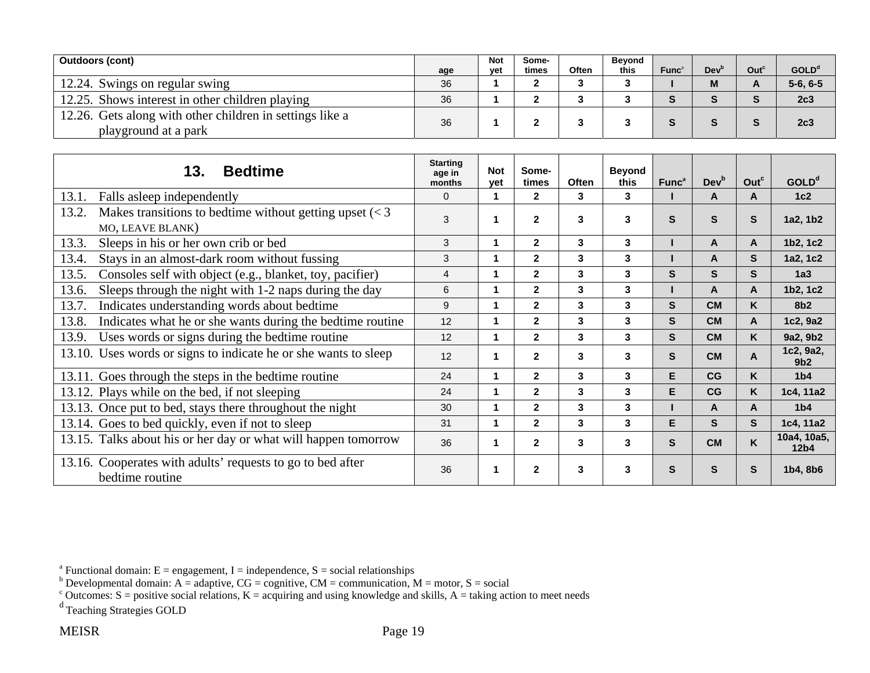| <b>Outdoors (cont)</b>                                                           | age | <b>Not</b><br>vet | Some-<br>times | Often | Beyond<br>this | Func | Dev <sup>r</sup> | Out <sup>c</sup> | GOLD <sup>d</sup> |
|----------------------------------------------------------------------------------|-----|-------------------|----------------|-------|----------------|------|------------------|------------------|-------------------|
| 12.24. Swings on regular swing                                                   | 36  |                   |                |       |                |      |                  |                  | $5-6, 6-5$        |
| 12.25. Shows interest in other children playing                                  | 36  |                   |                |       |                |      |                  |                  | 2c3               |
| 12.26. Gets along with other children in settings like a<br>playground at a park | 36  |                   |                |       |                |      |                  |                  | 2c3               |

| <b>Bedtime</b><br>13.                                                                                | <b>Starting</b><br>age in<br>months | <b>Not</b><br>vet | Some-<br>times | <b>Often</b> | <b>Beyond</b><br>this | Func <sup>a</sup> | <b>Dev</b> <sup>b</sup> | Out <sup>c</sup> | <b>GOLD</b> <sup>d</sup>        |
|------------------------------------------------------------------------------------------------------|-------------------------------------|-------------------|----------------|--------------|-----------------------|-------------------|-------------------------|------------------|---------------------------------|
| Falls asleep independently<br>13.1.                                                                  | $\Omega$                            | 1                 | $\mathbf{2}$   | 3            | 3                     |                   | A                       | A                | 1c2                             |
| Makes transitions to bedtime without getting upset $\left( < 3 \right)$<br>13.2.<br>MO, LEAVE BLANK) |                                     | 1                 | $\mathbf{2}$   | 3            | 3                     | S                 | S                       | S                | 1a2, 1b2                        |
| 13.3.<br>Sleeps in his or her own crib or bed                                                        | 3                                   | 1                 | $\mathbf{2}$   | 3            | 3                     |                   | A                       | $\mathsf{A}$     | 1b2, 1c2                        |
| 13.4.<br>Stays in an almost-dark room without fussing                                                | 3                                   | 1                 | $\mathbf{2}$   | 3            | 3                     |                   | A                       | S                | 1a2, 1c2                        |
| Consoles self with object (e.g., blanket, toy, pacifier)<br>13.5.                                    | 4                                   | 1                 | $\mathbf{2}$   | 3            | 3                     | S.                | S                       | S.               | 1a3                             |
| 13.6.<br>Sleeps through the night with 1-2 naps during the day                                       | 6                                   | 1                 | $\mathbf{2}$   | 3            | 3                     |                   | A                       | A                | 1b2, 1c2                        |
| Indicates understanding words about bedtime<br>13.7.                                                 | 9                                   | 1                 | $\overline{2}$ | 3            | 3                     | S.                | <b>CM</b>               | K                | 8b <sub>2</sub>                 |
| Indicates what he or she wants during the bedtime routine<br>13.8.                                   | 12                                  | 1                 | $\mathbf{2}$   | 3            | 3                     | S.                | <b>CM</b>               | A                | 1c2, 9a2                        |
| Uses words or signs during the bedtime routine<br>13.9.                                              | 12                                  | 1                 | $\overline{2}$ | 3            | 3                     | S.                | <b>CM</b>               | K                | 9a2, 9b2                        |
| 13.10. Uses words or signs to indicate he or she wants to sleep                                      | 12                                  | 1                 | $\mathbf{2}$   | 3            | 3                     | S                 | <b>CM</b>               | A                | 1c2, 9a2,<br>9 <sub>b2</sub>    |
| 13.11. Goes through the steps in the bedtime routine                                                 | 24                                  | 1                 | $\overline{2}$ | 3            | 3                     | E.                | CG                      | K                | 1 <sub>b4</sub>                 |
| 13.12. Plays while on the bed, if not sleeping                                                       | 24                                  | 1                 | $\overline{2}$ | 3            | 3                     | E                 | CG                      | K                | 1c4, 11a2                       |
| 13.13. Once put to bed, stays there throughout the night                                             | 30                                  | 1                 | $\overline{2}$ | 3            | 3                     |                   | A                       | A                | 1 <sub>b4</sub>                 |
| 13.14. Goes to bed quickly, even if not to sleep                                                     | 31                                  | 1                 | $\overline{2}$ | 3            | 3                     | E                 | S                       | S                | 1c4, 11a2                       |
| 13.15. Talks about his or her day or what will happen tomorrow                                       | 36                                  | 1                 | $\mathbf{2}$   | 3            | 3                     | S.                | <b>CM</b>               | Κ                | 10a4, 10a5,<br>12 <sub>b4</sub> |
| 13.16. Cooperates with adults' requests to go to bed after<br>bedtime routine                        | 36                                  | 1                 | $\mathbf{2}$   | 3            | 3                     | S                 | S                       | S                | 1b4, 8b6                        |

<sup>&</sup>lt;sup>a</sup> Functional domain: E = engagement, I = independence, S = social relationships

<sup>&</sup>lt;sup>b</sup> Developmental domain: A = adaptive, CG = cognitive, CM = communication, M = motor, S = social

<sup>&</sup>lt;sup>c</sup> Outcomes: S = positive social relations, K = acquiring and using knowledge and skills, A = taking action to meet needs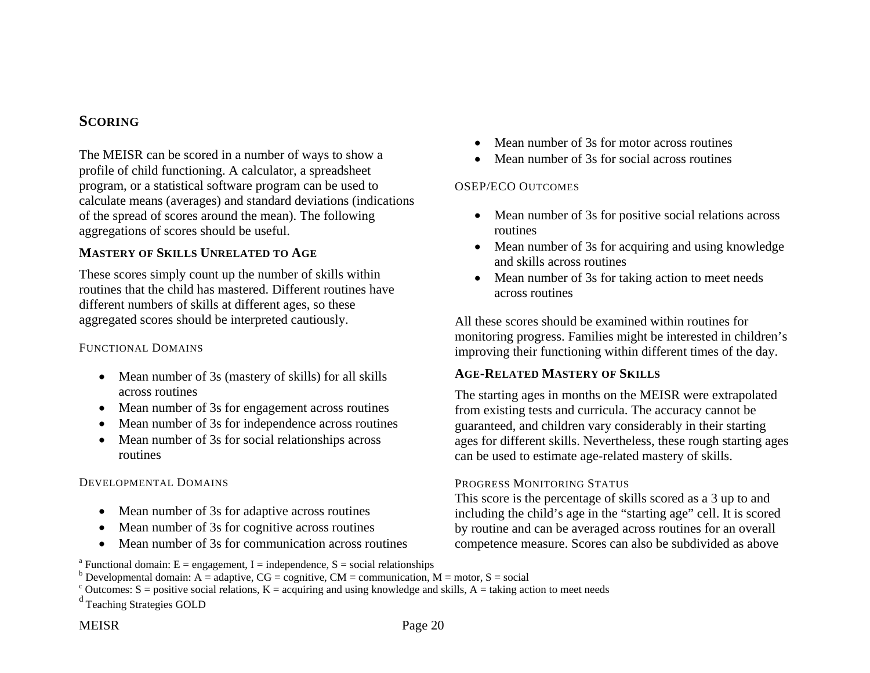## **SCORING**

The MEISR can be scored in a number of ways to show a profile of child functioning. A calculator, a spreadsheet program, or a statistical software program can be used to calculate means (averages) and standard deviations (indications of the spread of scores around the mean). The following aggregations of scores should be useful.

### **MASTERY OF SKILLS UNRELATED TO AGE**

These scores simply count up the number of skills within routines that the child has mastered. Different routines have different numbers of skills at different ages, so these aggregated scores should be interpreted cautiously.

#### FUNCTIONAL DOMAINS

- Mean number of 3s (mastery of skills) for all skills across routines
- Mean number of 3s for engagement across routines
- $\bullet$ Mean number of 3s for independence across routines
- Mean number of 3s for social relationships across routines

## DEVELOPMENTAL DOMAINS

- Mean number of 3s for adaptive across routines
- $\bullet$ Mean number of 3s for cognitive across routines
- $\bullet$ Mean number of 3s for communication across routines
- $\bullet$ Mean number of 3s for motor across routines
- $\bullet$ Mean number of 3s for social across routines

### OSEP/ECO OUTCOMES

- Mean number of 3s for positive social relations across routines
- Mean number of 3s for acquiring and using knowledge and skills across routines
- Mean number of 3s for taking action to meet needs across routines

All these scores should be examined within routines for monitoring progress. Families might be interested in children's improving their functioning within different times of the day.

## **AGE-RELATED MASTERY OF SKILLS**

The starting ages in months on the MEISR were extrapolated from existing tests and curricula. The accuracy cannot be guaranteed, and children vary considerably in their starting ages for different skills. Nevertheless, these rough starting ages can be used to estimate age-related mastery of skills.

#### PROGRESS MONITORING STATUS

This score is the percentage of skills scored as a 3 up to and including the child's age in the "starting age" cell. It is scored by routine and can be averaged across routines for an overall competence measure. Scores can also be subdivided as above

<sup>&</sup>lt;sup>a</sup> Functional domain:  $E =$  engagement, I = independence, S = social relationships

 $b$  Developmental domain: A = adaptive, CG = cognitive, CM = communication, M = motor, S = social

 $\epsilon$  Outcomes: S = positive social relations, K = acquiring and using knowledge and skills, A = taking action to meet needs

d Teaching Strategies GOLD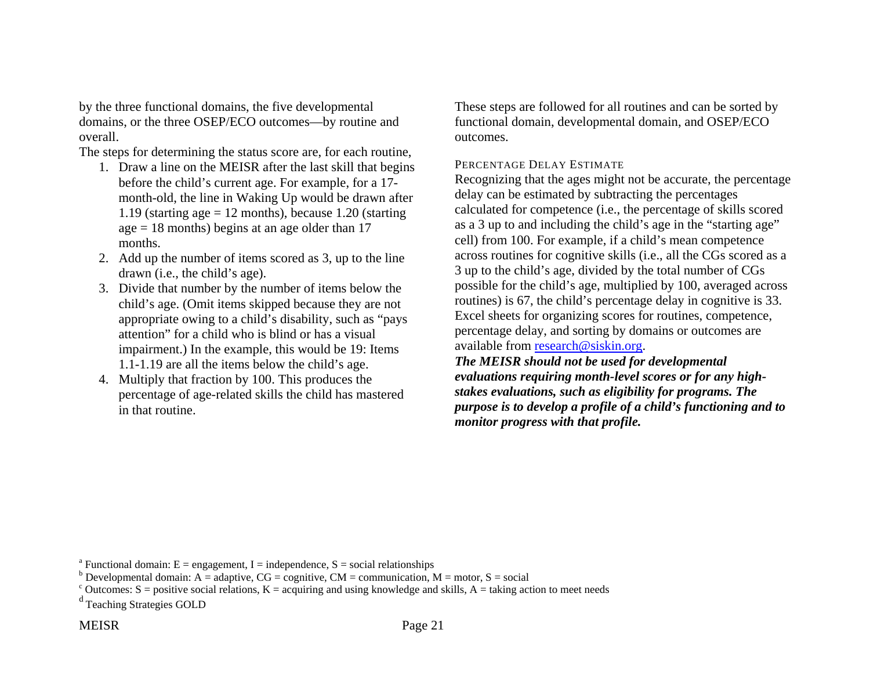by the three functional domains, the five developmental domains, or the three OSEP/ECO outcomes—by routine and overall.

The steps for determining the status score are, for each routine,

- 1. Draw a line on the MEISR after the last skill that begins before the child's current age. For example, for a 17 month-old, the line in Waking Up would be drawn after 1.19 (starting  $age = 12$  months), because 1.20 (starting  $age = 18$  months) begins at an age older than 17 months.
- 2. Add up the number of items scored as 3, up to the line drawn (i.e., the child's age).
- 3. Divide that number by the number of items below the child's age. (Omit items skipped because they are not appropriate owing to a child's disability, such as "pays attention" for a child who is blind or has a visual impairment.) In the example, this would be 19: Items 1.1-1.19 are all the items below the child's age.
- 4. Multiply that fraction by 100. This produces the percentage of age-related skills the child has mastered in that routine.

These steps are followed for all routines and can be sorted by functional domain, developmental domain, and OSEP/ECO outcomes.

#### PERCENTAGE DELAY ESTIMATE

Recognizing that the ages might not be accurate, the percentage delay can be estimated by subtracting the percentages calculated for competence (i.e., the percentage of skills scored as a 3 up to and including the child's age in the "starting age" cell) from 100. For example, if a child's mean competence across routines for cognitive skills (i.e., all the CGs scored as a 3 up to the child's age, divided by the total number of CGs possible for the child's age, multiplied by 100, averaged across routines) is 67, the child's percentage delay in cognitive is 33. Excel sheets for organizing scores for routines, competence, percentage delay, and sorting by domains or outcomes are available from research@siskin.org.

*The MEISR should not be used for developmental evaluations requiring month-level scores or for any highstakes evaluations, such as eligibility for programs. The purpose is to develop a profile of a child's functioning and to monitor progress with that profile.* 

<sup>&</sup>lt;sup>a</sup> Functional domain: E = engagement, I = independence, S = social relationships

<sup>&</sup>lt;sup>b</sup> Developmental domain: A = adaptive,  $CG =$  cognitive,  $CM =$  communication,  $M =$  motor, S = social

 $\epsilon$  Outcomes: S = positive social relations, K = acquiring and using knowledge and skills, A = taking action to meet needs

d Teaching Strategies GOLD